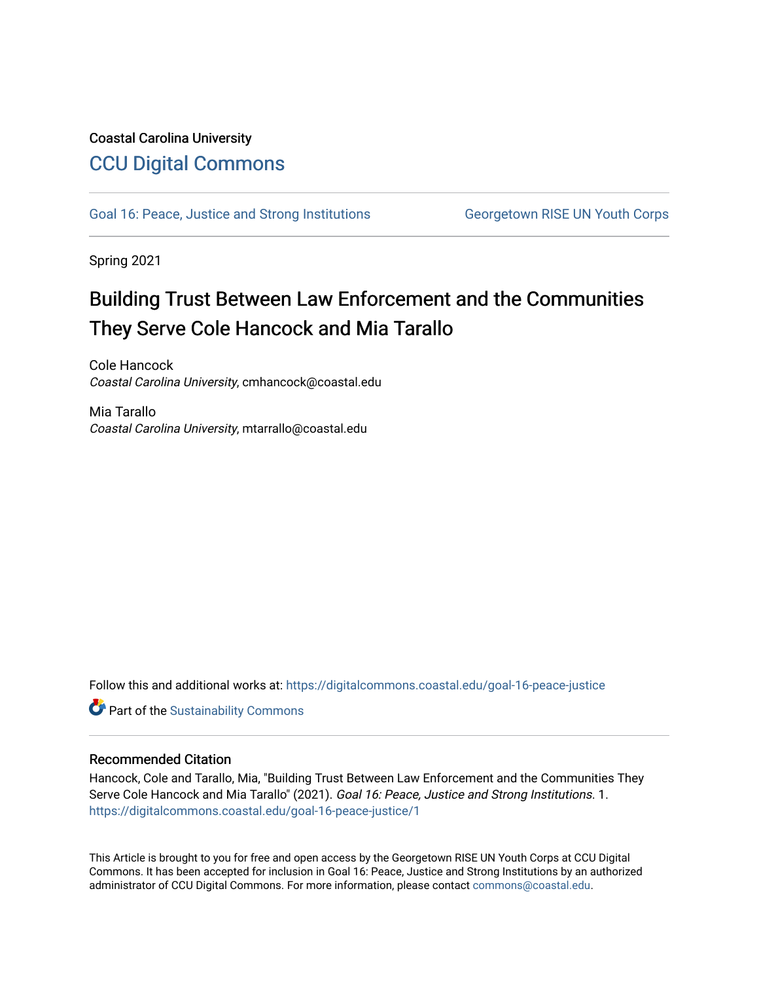## Coastal Carolina University [CCU Digital Commons](https://digitalcommons.coastal.edu/)

[Goal 16: Peace, Justice and Strong Institutions](https://digitalcommons.coastal.edu/goal-16-peace-justice) Georgetown RISE UN Youth Corps

Spring 2021

# Building Trust Between Law Enforcement and the Communities They Serve Cole Hancock and Mia Tarallo

Cole Hancock Coastal Carolina University, cmhancock@coastal.edu

Mia Tarallo Coastal Carolina University, mtarrallo@coastal.edu

Follow this and additional works at: [https://digitalcommons.coastal.edu/goal-16-peace-justice](https://digitalcommons.coastal.edu/goal-16-peace-justice?utm_source=digitalcommons.coastal.edu%2Fgoal-16-peace-justice%2F1&utm_medium=PDF&utm_campaign=PDFCoverPages) 

**Part of the [Sustainability Commons](http://network.bepress.com/hgg/discipline/1031?utm_source=digitalcommons.coastal.edu%2Fgoal-16-peace-justice%2F1&utm_medium=PDF&utm_campaign=PDFCoverPages)** 

### Recommended Citation

Hancock, Cole and Tarallo, Mia, "Building Trust Between Law Enforcement and the Communities They Serve Cole Hancock and Mia Tarallo" (2021). Goal 16: Peace, Justice and Strong Institutions. 1. [https://digitalcommons.coastal.edu/goal-16-peace-justice/1](https://digitalcommons.coastal.edu/goal-16-peace-justice/1?utm_source=digitalcommons.coastal.edu%2Fgoal-16-peace-justice%2F1&utm_medium=PDF&utm_campaign=PDFCoverPages) 

This Article is brought to you for free and open access by the Georgetown RISE UN Youth Corps at CCU Digital Commons. It has been accepted for inclusion in Goal 16: Peace, Justice and Strong Institutions by an authorized administrator of CCU Digital Commons. For more information, please contact [commons@coastal.edu.](mailto:commons@coastal.edu)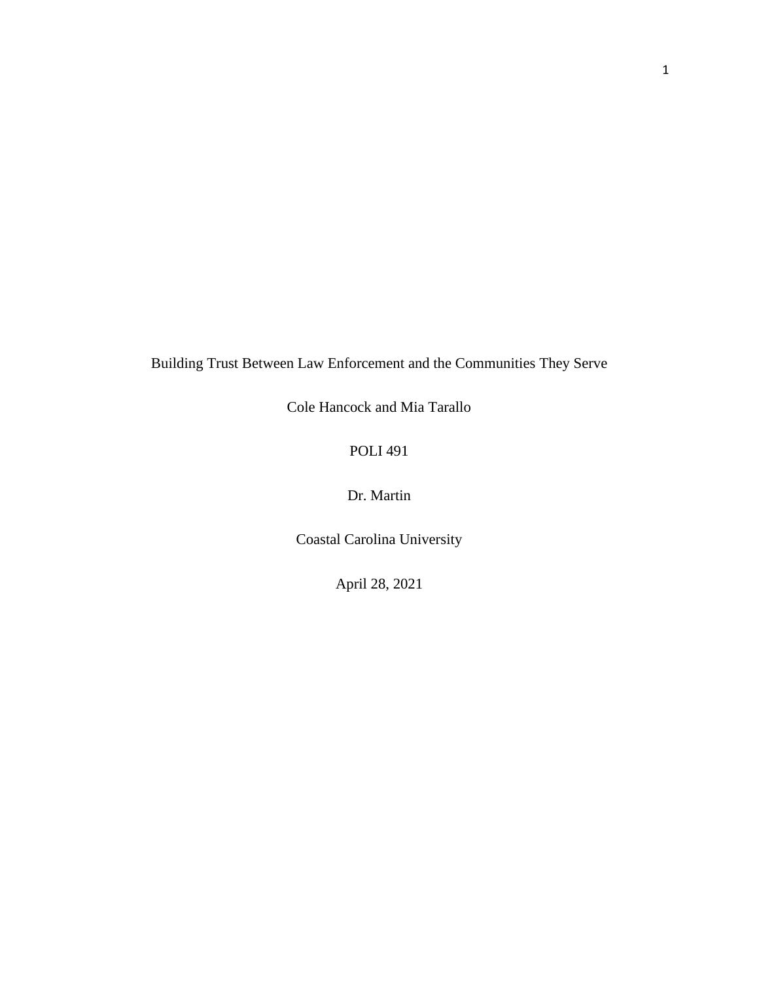Building Trust Between Law Enforcement and the Communities They Serve

Cole Hancock and Mia Tarallo

POLI 491

Dr. Martin

Coastal Carolina University

April 28, 2021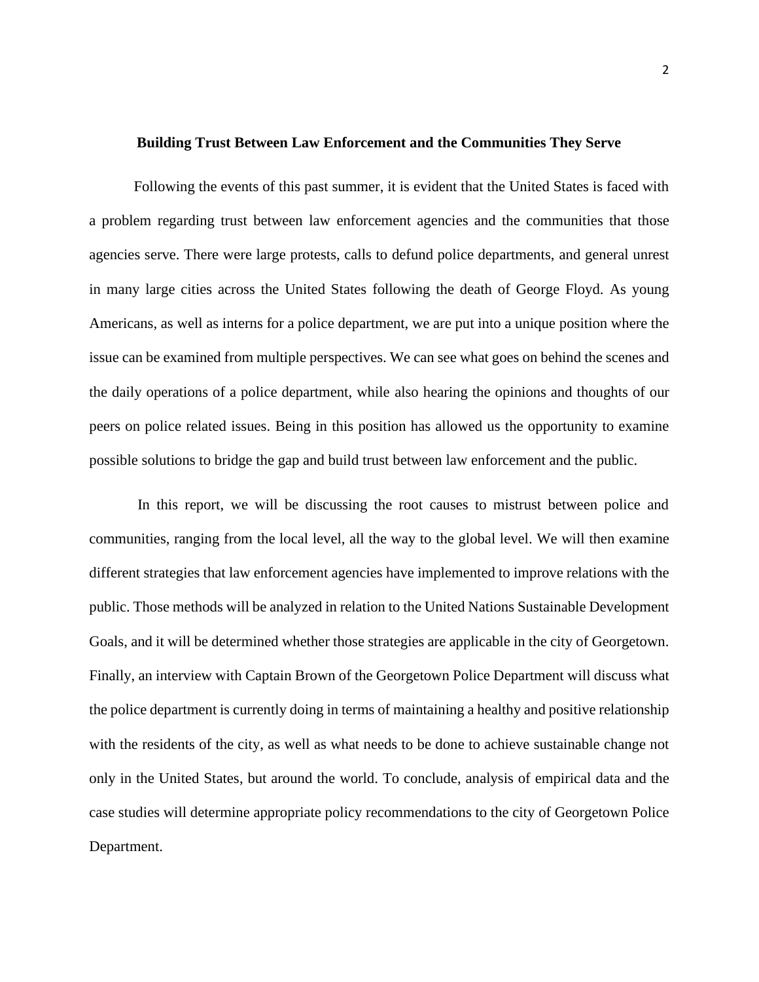#### **Building Trust Between Law Enforcement and the Communities They Serve**

Following the events of this past summer, it is evident that the United States is faced with a problem regarding trust between law enforcement agencies and the communities that those agencies serve. There were large protests, calls to defund police departments, and general unrest in many large cities across the United States following the death of George Floyd. As young Americans, as well as interns for a police department, we are put into a unique position where the issue can be examined from multiple perspectives. We can see what goes on behind the scenes and the daily operations of a police department, while also hearing the opinions and thoughts of our peers on police related issues. Being in this position has allowed us the opportunity to examine possible solutions to bridge the gap and build trust between law enforcement and the public.

In this report, we will be discussing the root causes to mistrust between police and communities, ranging from the local level, all the way to the global level. We will then examine different strategies that law enforcement agencies have implemented to improve relations with the public. Those methods will be analyzed in relation to the United Nations Sustainable Development Goals, and it will be determined whether those strategies are applicable in the city of Georgetown. Finally, an interview with Captain Brown of the Georgetown Police Department will discuss what the police department is currently doing in terms of maintaining a healthy and positive relationship with the residents of the city, as well as what needs to be done to achieve sustainable change not only in the United States, but around the world. To conclude, analysis of empirical data and the case studies will determine appropriate policy recommendations to the city of Georgetown Police Department.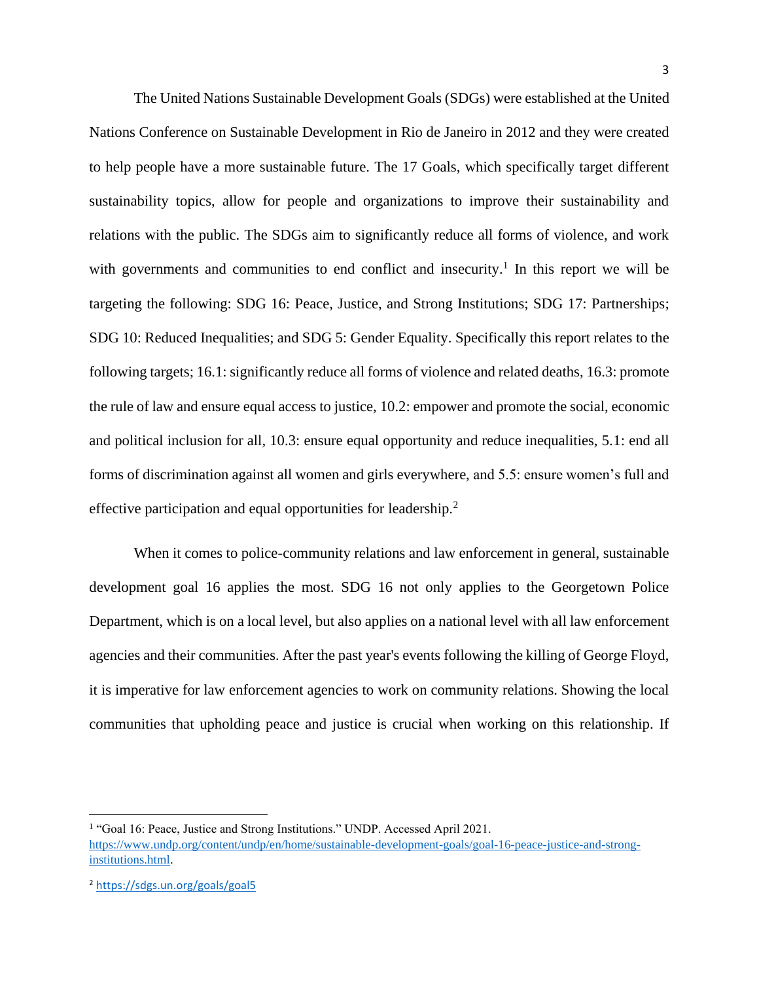The United Nations Sustainable Development Goals (SDGs) were established at the United Nations Conference on Sustainable Development in Rio de Janeiro in 2012 and they were created to help people have a more sustainable future. The 17 Goals, which specifically target different sustainability topics, allow for people and organizations to improve their sustainability and relations with the public. The SDGs aim to significantly reduce all forms of violence, and work with governments and communities to end conflict and insecurity.<sup>1</sup> In this report we will be targeting the following: SDG 16: Peace, Justice, and Strong Institutions; SDG 17: Partnerships; SDG 10: Reduced Inequalities; and SDG 5: Gender Equality. Specifically this report relates to the following targets; 16.1: significantly reduce all forms of violence and related deaths, 16.3: promote the rule of law and ensure equal access to justice, 10.2: empower and promote the social, economic and political inclusion for all, 10.3: ensure equal opportunity and reduce inequalities, 5.1: end all forms of discrimination against all women and girls everywhere, and 5.5: ensure women's full and effective participation and equal opportunities for leadership.<sup>2</sup>

When it comes to police-community relations and law enforcement in general, sustainable development goal 16 applies the most. SDG 16 not only applies to the Georgetown Police Department, which is on a local level, but also applies on a national level with all law enforcement agencies and their communities. After the past year's events following the killing of George Floyd, it is imperative for law enforcement agencies to work on community relations. Showing the local communities that upholding peace and justice is crucial when working on this relationship. If

<sup>&</sup>lt;sup>1</sup> "Goal 16: Peace, Justice and Strong Institutions." UNDP. Accessed April 2021. [https://www.undp.org/content/undp/en/home/sustainable-development-goals/goal-16-peace-justice-and-strong](https://www.undp.org/content/undp/en/home/sustainable-development-goals/goal-16-peace-justice-and-strong-institutions.html)[institutions.html.](https://www.undp.org/content/undp/en/home/sustainable-development-goals/goal-16-peace-justice-and-strong-institutions.html)

<sup>2</sup> <https://sdgs.un.org/goals/goal5>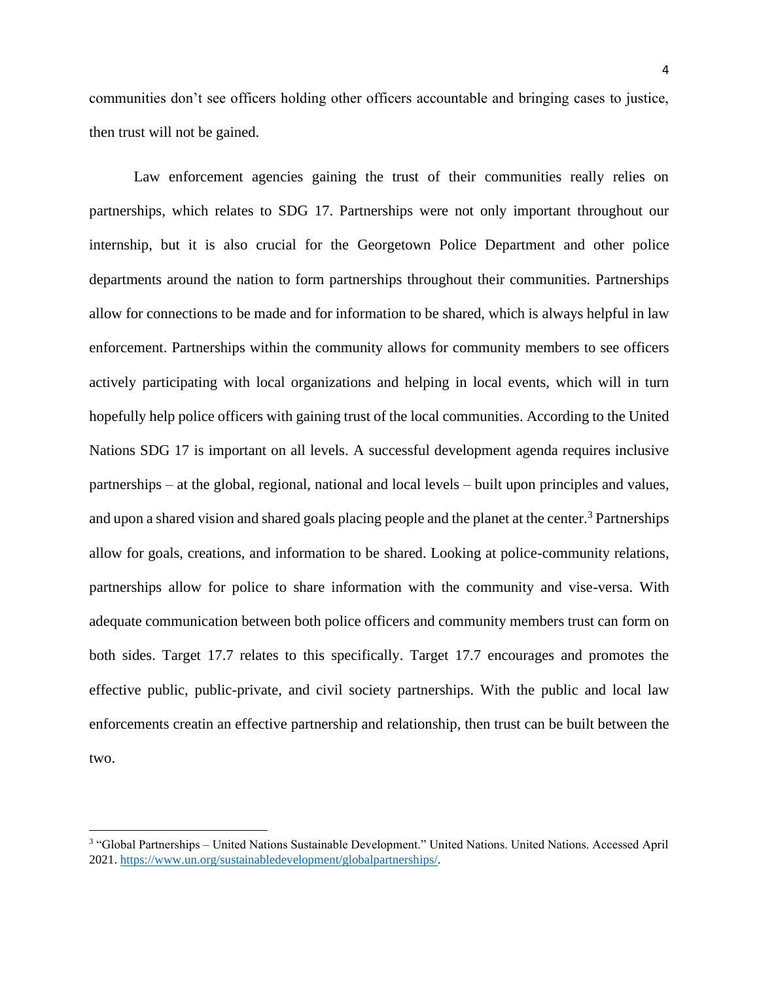communities don't see officers holding other officers accountable and bringing cases to justice, then trust will not be gained.

Law enforcement agencies gaining the trust of their communities really relies on partnerships, which relates to SDG 17. Partnerships were not only important throughout our internship, but it is also crucial for the Georgetown Police Department and other police departments around the nation to form partnerships throughout their communities. Partnerships allow for connections to be made and for information to be shared, which is always helpful in law enforcement. Partnerships within the community allows for community members to see officers actively participating with local organizations and helping in local events, which will in turn hopefully help police officers with gaining trust of the local communities. According to the United Nations SDG 17 is important on all levels. A successful development agenda requires inclusive partnerships – at the global, regional, national and local levels – built upon principles and values, and upon a shared vision and shared goals placing people and the planet at the center.<sup>3</sup> Partnerships allow for goals, creations, and information to be shared. Looking at police-community relations, partnerships allow for police to share information with the community and vise-versa. With adequate communication between both police officers and community members trust can form on both sides. Target 17.7 relates to this specifically. Target 17.7 encourages and promotes the effective public, public-private, and civil society partnerships. With the public and local law enforcements creatin an effective partnership and relationship, then trust can be built between the two.

<sup>3</sup> "Global Partnerships – United Nations Sustainable Development." United Nations. United Nations. Accessed April 2021. [https://www.un.org/sustainabledevelopment/globalpartnerships/.](https://www.un.org/sustainabledevelopment/globalpartnerships/)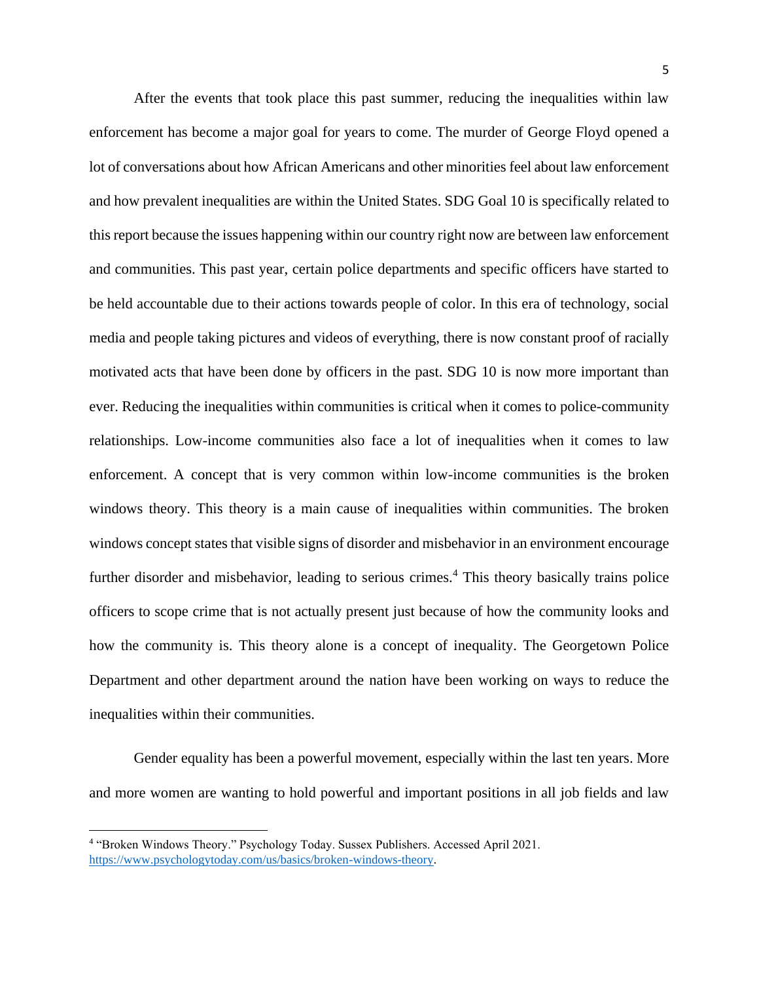After the events that took place this past summer, reducing the inequalities within law enforcement has become a major goal for years to come. The murder of George Floyd opened a lot of conversations about how African Americans and other minorities feel about law enforcement and how prevalent inequalities are within the United States. SDG Goal 10 is specifically related to this report because the issues happening within our country right now are between law enforcement and communities. This past year, certain police departments and specific officers have started to be held accountable due to their actions towards people of color. In this era of technology, social media and people taking pictures and videos of everything, there is now constant proof of racially motivated acts that have been done by officers in the past. SDG 10 is now more important than ever. Reducing the inequalities within communities is critical when it comes to police-community relationships. Low-income communities also face a lot of inequalities when it comes to law enforcement. A concept that is very common within low-income communities is the broken windows theory. This theory is a main cause of inequalities within communities. The broken windows concept states that visible signs of disorder and misbehavior in an environment encourage further disorder and misbehavior, leading to serious crimes.<sup>4</sup> This theory basically trains police officers to scope crime that is not actually present just because of how the community looks and how the community is. This theory alone is a concept of inequality. The Georgetown Police Department and other department around the nation have been working on ways to reduce the inequalities within their communities.

Gender equality has been a powerful movement, especially within the last ten years. More and more women are wanting to hold powerful and important positions in all job fields and law

<sup>4</sup> "Broken Windows Theory." Psychology Today. Sussex Publishers. Accessed April 2021. [https://www.psychologytoday.com/us/basics/broken-windows-theory.](https://www.psychologytoday.com/us/basics/broken-windows-theory)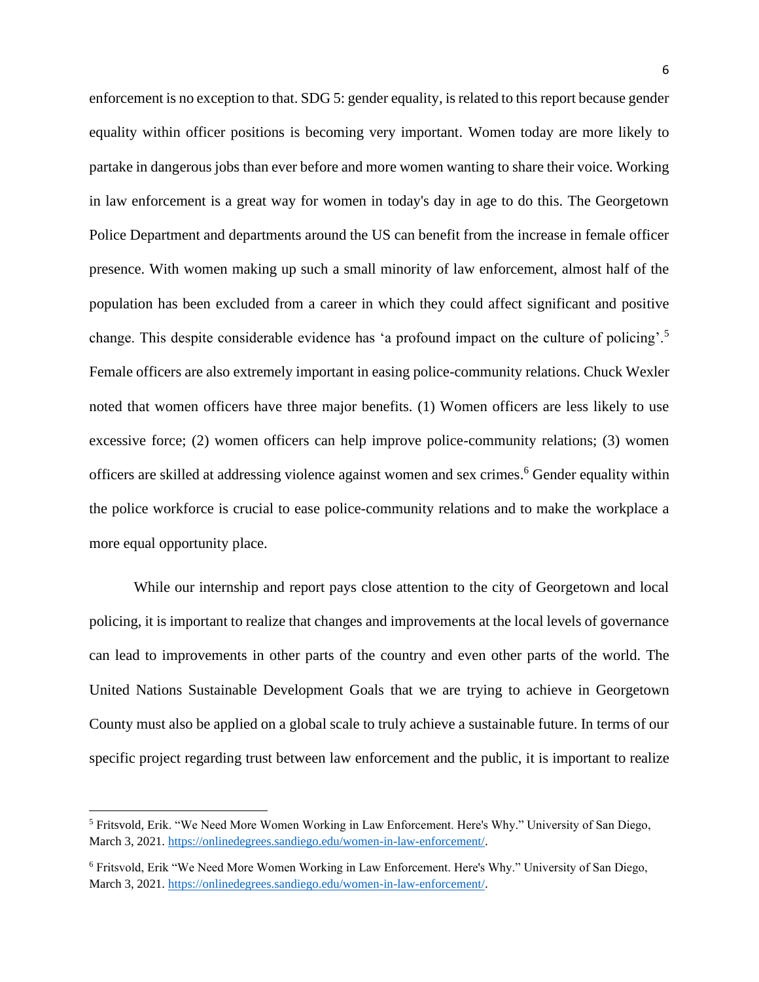enforcement is no exception to that. SDG 5: gender equality, is related to this report because gender equality within officer positions is becoming very important. Women today are more likely to partake in dangerous jobs than ever before and more women wanting to share their voice. Working in law enforcement is a great way for women in today's day in age to do this. The Georgetown Police Department and departments around the US can benefit from the increase in female officer presence. With women making up such a small minority of law enforcement, almost half of the population has been excluded from a career in which they could affect significant and positive change. This despite considerable evidence has 'a profound impact on the culture of policing'.<sup>5</sup> Female officers are also extremely important in easing police-community relations. Chuck Wexler noted that women officers have three major benefits. (1) Women officers are less likely to use excessive force; (2) women officers can help improve police-community relations; (3) women officers are skilled at addressing violence against women and sex crimes. <sup>6</sup> Gender equality within the police workforce is crucial to ease police-community relations and to make the workplace a more equal opportunity place.

While our internship and report pays close attention to the city of Georgetown and local policing, it is important to realize that changes and improvements at the local levels of governance can lead to improvements in other parts of the country and even other parts of the world. The United Nations Sustainable Development Goals that we are trying to achieve in Georgetown County must also be applied on a global scale to truly achieve a sustainable future. In terms of our specific project regarding trust between law enforcement and the public, it is important to realize

<sup>5</sup> Fritsvold, Erik. "We Need More Women Working in Law Enforcement. Here's Why." University of San Diego, March 3, 2021[. https://onlinedegrees.sandiego.edu/women-in-law-enforcement/.](https://onlinedegrees.sandiego.edu/women-in-law-enforcement/)

<sup>6</sup> Fritsvold, Erik "We Need More Women Working in Law Enforcement. Here's Why." University of San Diego, March 3, 2021[. https://onlinedegrees.sandiego.edu/women-in-law-enforcement/.](https://onlinedegrees.sandiego.edu/women-in-law-enforcement/)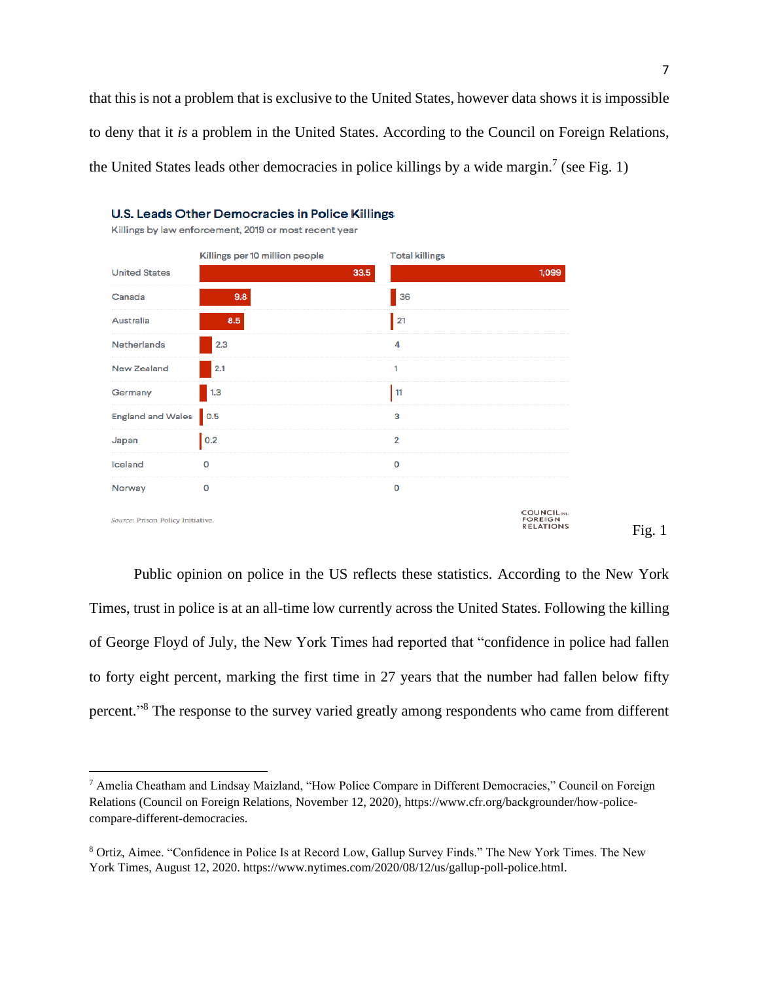that this is not a problem that is exclusive to the United States, however data shows it is impossible to deny that it *is* a problem in the United States. According to the Council on Foreign Relations, the United States leads other democracies in police killings by a wide margin.<sup>7</sup> (see Fig. 1)



Public opinion on police in the US reflects these statistics. According to the New York Times, trust in police is at an all-time low currently across the United States. Following the killing of George Floyd of July, the New York Times had reported that "confidence in police had fallen to forty eight percent, marking the first time in 27 years that the number had fallen below fifty percent."<sup>8</sup> The response to the survey varied greatly among respondents who came from different

<sup>7</sup> Amelia Cheatham and Lindsay Maizland, "How Police Compare in Different Democracies," Council on Foreign Relations (Council on Foreign Relations, November 12, 2020), https://www.cfr.org/backgrounder/how-policecompare-different-democracies.

<sup>8</sup> Ortiz, Aimee. "Confidence in Police Is at Record Low, Gallup Survey Finds." The New York Times. The New York Times, August 12, 2020. https://www.nytimes.com/2020/08/12/us/gallup-poll-police.html.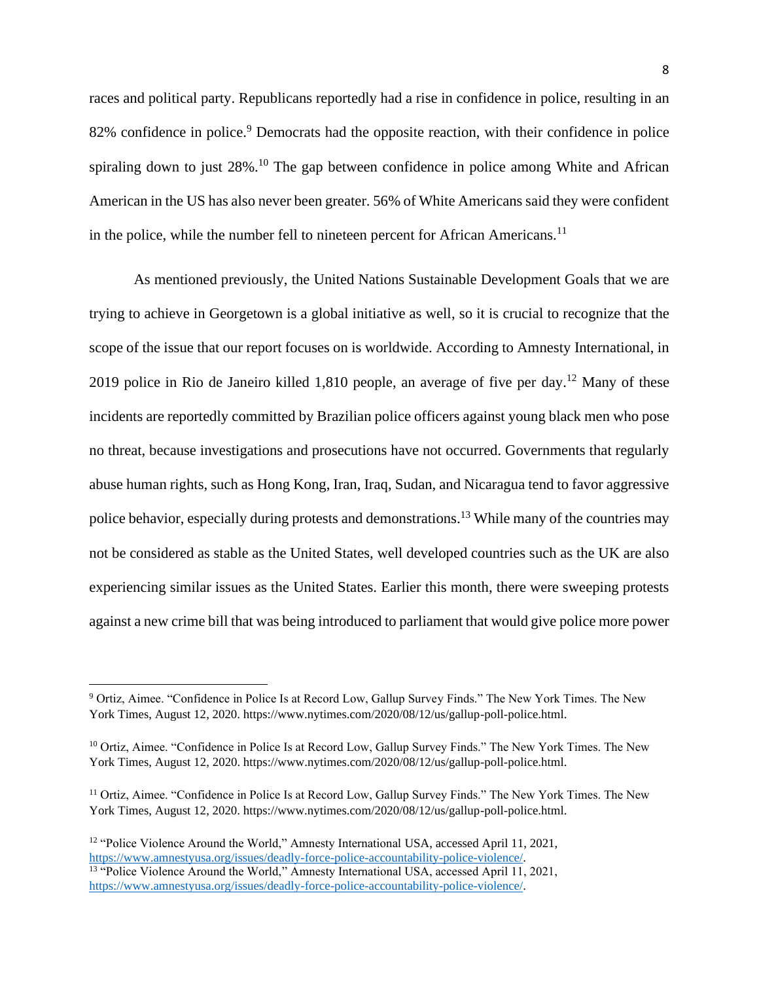races and political party. Republicans reportedly had a rise in confidence in police, resulting in an 82% confidence in police.<sup>9</sup> Democrats had the opposite reaction, with their confidence in police spiraling down to just 28%.<sup>10</sup> The gap between confidence in police among White and African American in the US has also never been greater. 56% of White Americans said they were confident in the police, while the number fell to nineteen percent for African Americans.<sup>11</sup>

As mentioned previously, the United Nations Sustainable Development Goals that we are trying to achieve in Georgetown is a global initiative as well, so it is crucial to recognize that the scope of the issue that our report focuses on is worldwide. According to Amnesty International, in 2019 police in Rio de Janeiro killed 1,810 people, an average of five per day.<sup>12</sup> Many of these incidents are reportedly committed by Brazilian police officers against young black men who pose no threat, because investigations and prosecutions have not occurred. Governments that regularly abuse human rights, such as Hong Kong, Iran, Iraq, Sudan, and Nicaragua tend to favor aggressive police behavior, especially during protests and demonstrations.<sup>13</sup> While many of the countries may not be considered as stable as the United States, well developed countries such as the UK are also experiencing similar issues as the United States. Earlier this month, there were sweeping protests against a new crime bill that was being introduced to parliament that would give police more power

<sup>9</sup> Ortiz, Aimee. "Confidence in Police Is at Record Low, Gallup Survey Finds." The New York Times. The New York Times, August 12, 2020. https://www.nytimes.com/2020/08/12/us/gallup-poll-police.html.

<sup>&</sup>lt;sup>10</sup> Ortiz, Aimee. "Confidence in Police Is at Record Low, Gallup Survey Finds." The New York Times. The New York Times, August 12, 2020. https://www.nytimes.com/2020/08/12/us/gallup-poll-police.html.

<sup>&</sup>lt;sup>11</sup> Ortiz, Aimee. "Confidence in Police Is at Record Low, Gallup Survey Finds." The New York Times. The New York Times, August 12, 2020. https://www.nytimes.com/2020/08/12/us/gallup-poll-police.html.

<sup>&</sup>lt;sup>12</sup> "Police Violence Around the World," Amnesty International USA, accessed April 11, 2021, [https://www.amnestyusa.org/issues/deadly-force-police-accountability-police-violence/.](https://www.amnestyusa.org/issues/deadly-force-police-accountability-police-violence/) <sup>13</sup> "Police Violence Around the World," Amnesty International USA, accessed April 11, 2021, [https://www.amnestyusa.org/issues/deadly-force-police-accountability-police-violence/.](https://www.amnestyusa.org/issues/deadly-force-police-accountability-police-violence/)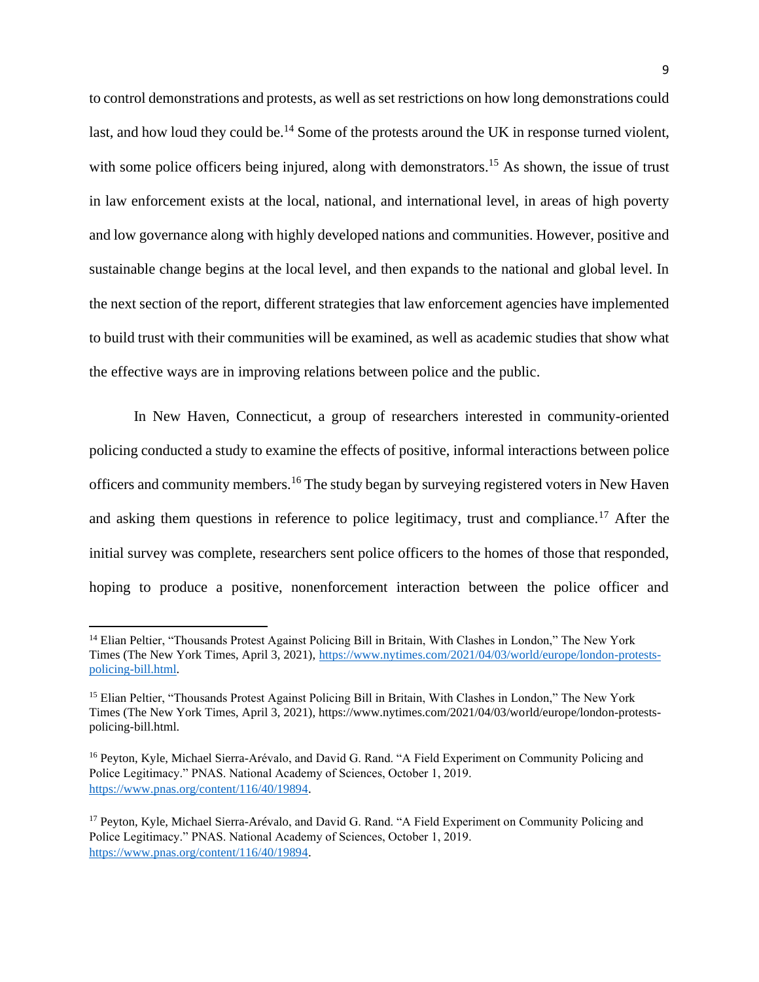to control demonstrations and protests, as well as set restrictions on how long demonstrations could last, and how loud they could be.<sup>14</sup> Some of the protests around the UK in response turned violent, with some police officers being injured, along with demonstrators.<sup>15</sup> As shown, the issue of trust in law enforcement exists at the local, national, and international level, in areas of high poverty and low governance along with highly developed nations and communities. However, positive and sustainable change begins at the local level, and then expands to the national and global level. In the next section of the report, different strategies that law enforcement agencies have implemented to build trust with their communities will be examined, as well as academic studies that show what the effective ways are in improving relations between police and the public.

In New Haven, Connecticut, a group of researchers interested in community-oriented policing conducted a study to examine the effects of positive, informal interactions between police officers and community members.<sup>16</sup> The study began by surveying registered voters in New Haven and asking them questions in reference to police legitimacy, trust and compliance.<sup>17</sup> After the initial survey was complete, researchers sent police officers to the homes of those that responded, hoping to produce a positive, nonenforcement interaction between the police officer and

<sup>&</sup>lt;sup>14</sup> Elian Peltier, "Thousands Protest Against Policing Bill in Britain, With Clashes in London," The New York Times (The New York Times, April 3, 2021), [https://www.nytimes.com/2021/04/03/world/europe/london-protests](https://www.nytimes.com/2021/04/03/world/europe/london-protests-policing-bill.html)[policing-bill.html.](https://www.nytimes.com/2021/04/03/world/europe/london-protests-policing-bill.html) 

<sup>&</sup>lt;sup>15</sup> Elian Peltier, "Thousands Protest Against Policing Bill in Britain, With Clashes in London," The New York Times (The New York Times, April 3, 2021), https://www.nytimes.com/2021/04/03/world/europe/london-protestspolicing-bill.html.

<sup>16</sup> Peyton, Kyle, Michael Sierra-Arévalo, and David G. Rand. "A Field Experiment on Community Policing and Police Legitimacy." PNAS. National Academy of Sciences, October 1, 2019. [https://www.pnas.org/content/116/40/19894.](https://www.pnas.org/content/116/40/19894)

<sup>17</sup> Peyton, Kyle, Michael Sierra-Arévalo, and David G. Rand. "A Field Experiment on Community Policing and Police Legitimacy." PNAS. National Academy of Sciences, October 1, 2019. [https://www.pnas.org/content/116/40/19894.](https://www.pnas.org/content/116/40/19894)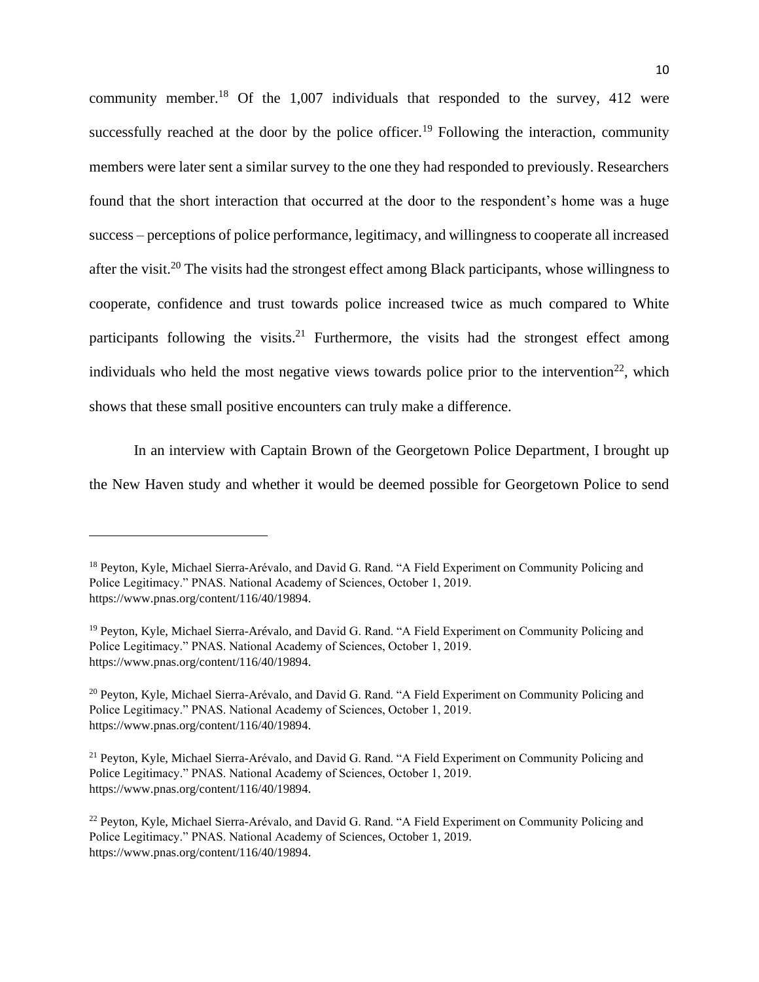community member.<sup>18</sup> Of the 1,007 individuals that responded to the survey, 412 were successfully reached at the door by the police officer.<sup>19</sup> Following the interaction, community members were later sent a similar survey to the one they had responded to previously. Researchers found that the short interaction that occurred at the door to the respondent's home was a huge success – perceptions of police performance, legitimacy, and willingness to cooperate all increased after the visit.<sup>20</sup> The visits had the strongest effect among Black participants, whose willingness to cooperate, confidence and trust towards police increased twice as much compared to White participants following the visits.<sup>21</sup> Furthermore, the visits had the strongest effect among individuals who held the most negative views towards police prior to the intervention<sup>22</sup>, which shows that these small positive encounters can truly make a difference.

In an interview with Captain Brown of the Georgetown Police Department, I brought up the New Haven study and whether it would be deemed possible for Georgetown Police to send

<sup>&</sup>lt;sup>18</sup> Peyton, Kyle, Michael Sierra-Arévalo, and David G. Rand. "A Field Experiment on Community Policing and Police Legitimacy." PNAS. National Academy of Sciences, October 1, 2019. https://www.pnas.org/content/116/40/19894.

<sup>19</sup> Peyton, Kyle, Michael Sierra-Arévalo, and David G. Rand. "A Field Experiment on Community Policing and Police Legitimacy." PNAS. National Academy of Sciences, October 1, 2019. https://www.pnas.org/content/116/40/19894.

<sup>20</sup> Peyton, Kyle, Michael Sierra-Arévalo, and David G. Rand. "A Field Experiment on Community Policing and Police Legitimacy." PNAS. National Academy of Sciences, October 1, 2019. https://www.pnas.org/content/116/40/19894.

<sup>&</sup>lt;sup>21</sup> Peyton, Kyle, Michael Sierra-Arévalo, and David G. Rand. "A Field Experiment on Community Policing and Police Legitimacy." PNAS. National Academy of Sciences, October 1, 2019. https://www.pnas.org/content/116/40/19894.

<sup>&</sup>lt;sup>22</sup> Peyton, Kyle, Michael Sierra-Arévalo, and David G. Rand. "A Field Experiment on Community Policing and Police Legitimacy." PNAS. National Academy of Sciences, October 1, 2019. https://www.pnas.org/content/116/40/19894.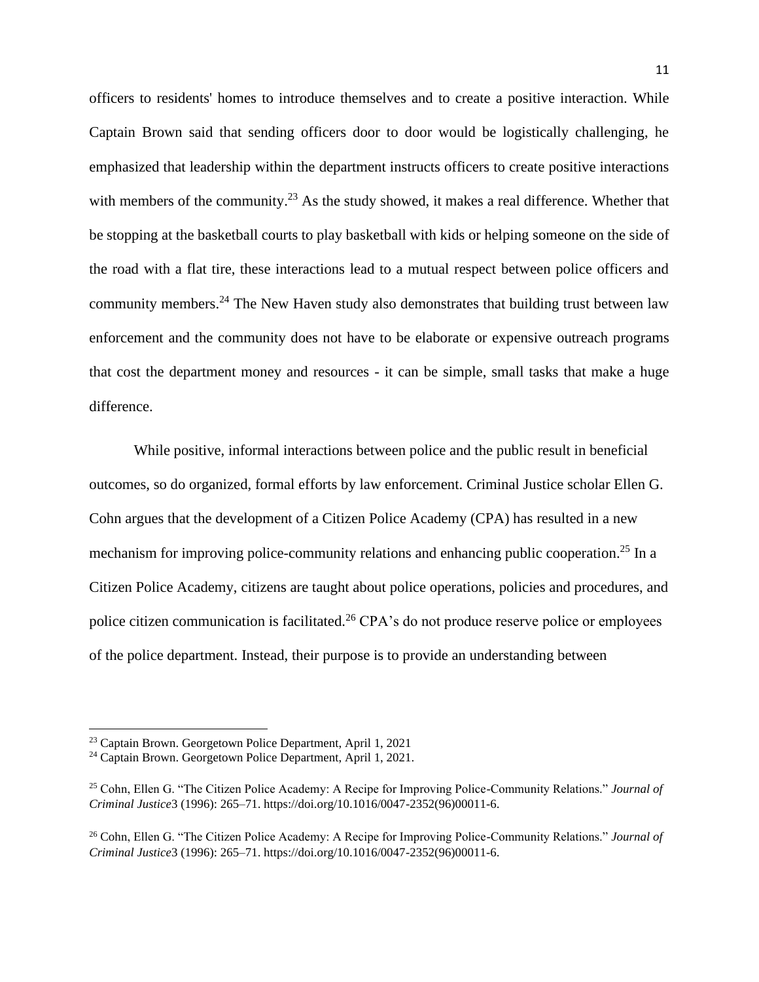officers to residents' homes to introduce themselves and to create a positive interaction. While Captain Brown said that sending officers door to door would be logistically challenging, he emphasized that leadership within the department instructs officers to create positive interactions with members of the community.<sup>23</sup> As the study showed, it makes a real difference. Whether that be stopping at the basketball courts to play basketball with kids or helping someone on the side of the road with a flat tire, these interactions lead to a mutual respect between police officers and community members.<sup>24</sup> The New Haven study also demonstrates that building trust between law enforcement and the community does not have to be elaborate or expensive outreach programs that cost the department money and resources - it can be simple, small tasks that make a huge difference.

While positive, informal interactions between police and the public result in beneficial outcomes, so do organized, formal efforts by law enforcement. Criminal Justice scholar Ellen G. Cohn argues that the development of a Citizen Police Academy (CPA) has resulted in a new mechanism for improving police-community relations and enhancing public cooperation.<sup>25</sup> In a Citizen Police Academy, citizens are taught about police operations, policies and procedures, and police citizen communication is facilitated.<sup>26</sup> CPA's do not produce reserve police or employees of the police department. Instead, their purpose is to provide an understanding between

<sup>23</sup> Captain Brown. Georgetown Police Department, April 1, 2021

<sup>&</sup>lt;sup>24</sup> Captain Brown. Georgetown Police Department, April 1, 2021.

<sup>25</sup> Cohn, Ellen G. "The Citizen Police Academy: A Recipe for Improving Police-Community Relations." *Journal of Criminal Justice*3 (1996): 265–71. https://doi.org/10.1016/0047-2352(96)00011-6.

<sup>26</sup> Cohn, Ellen G. "The Citizen Police Academy: A Recipe for Improving Police-Community Relations." *Journal of Criminal Justice*3 (1996): 265–71. https://doi.org/10.1016/0047-2352(96)00011-6.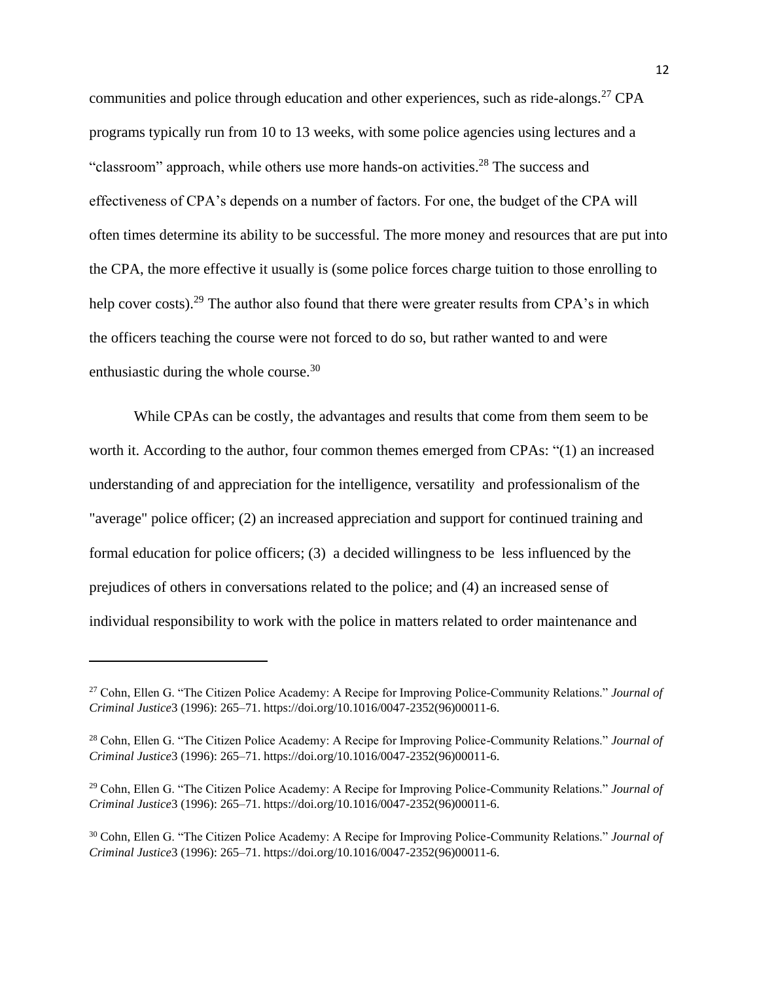communities and police through education and other experiences, such as ride-alongs.<sup>27</sup> CPA programs typically run from 10 to 13 weeks, with some police agencies using lectures and a "classroom" approach, while others use more hands-on activities.<sup>28</sup> The success and effectiveness of CPA's depends on a number of factors. For one, the budget of the CPA will often times determine its ability to be successful. The more money and resources that are put into the CPA, the more effective it usually is (some police forces charge tuition to those enrolling to help cover costs).<sup>29</sup> The author also found that there were greater results from CPA's in which the officers teaching the course were not forced to do so, but rather wanted to and were enthusiastic during the whole course.<sup>30</sup>

While CPAs can be costly, the advantages and results that come from them seem to be worth it. According to the author, four common themes emerged from CPAs: "(1) an increased understanding of and appreciation for the intelligence, versatility and professionalism of the "average" police officer; (2) an increased appreciation and support for continued training and formal education for police officers; (3) a decided willingness to be less influenced by the prejudices of others in conversations related to the police; and (4) an increased sense of individual responsibility to work with the police in matters related to order maintenance and

<sup>27</sup> Cohn, Ellen G. "The Citizen Police Academy: A Recipe for Improving Police-Community Relations." *Journal of Criminal Justice*3 (1996): 265–71. https://doi.org/10.1016/0047-2352(96)00011-6.

<sup>28</sup> Cohn, Ellen G. "The Citizen Police Academy: A Recipe for Improving Police-Community Relations." *Journal of Criminal Justice*3 (1996): 265–71. https://doi.org/10.1016/0047-2352(96)00011-6.

<sup>29</sup> Cohn, Ellen G. "The Citizen Police Academy: A Recipe for Improving Police-Community Relations." *Journal of Criminal Justice*3 (1996): 265–71. https://doi.org/10.1016/0047-2352(96)00011-6.

<sup>30</sup> Cohn, Ellen G. "The Citizen Police Academy: A Recipe for Improving Police-Community Relations." *Journal of Criminal Justice*3 (1996): 265–71. https://doi.org/10.1016/0047-2352(96)00011-6.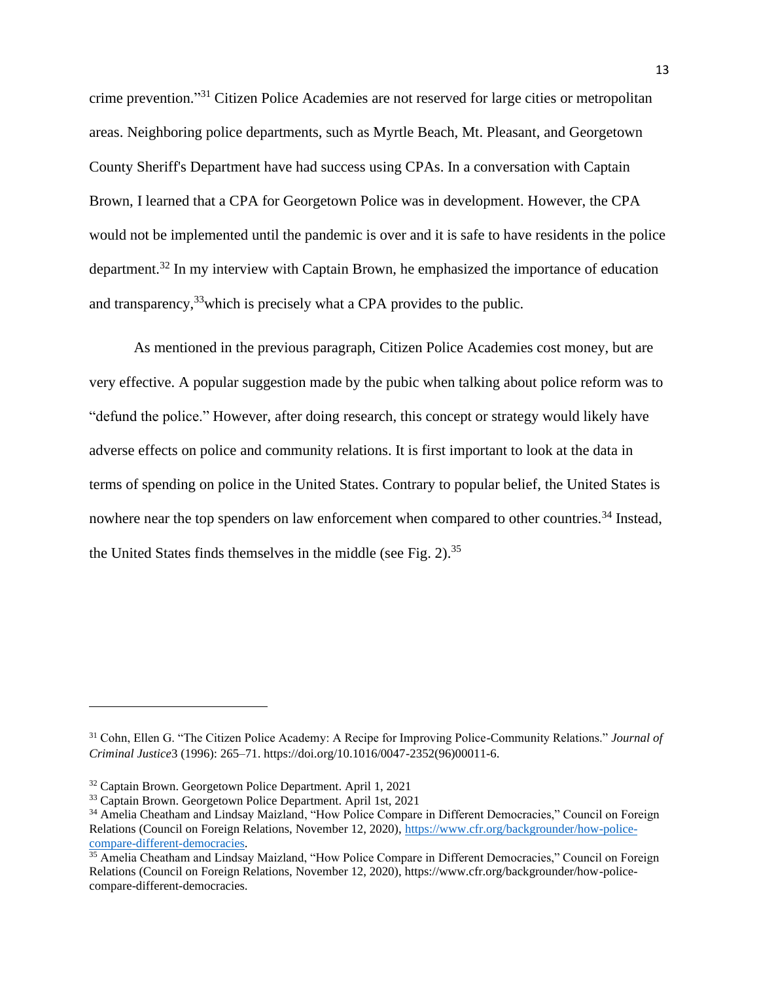crime prevention." <sup>31</sup> Citizen Police Academies are not reserved for large cities or metropolitan areas. Neighboring police departments, such as Myrtle Beach, Mt. Pleasant, and Georgetown County Sheriff's Department have had success using CPAs. In a conversation with Captain Brown, I learned that a CPA for Georgetown Police was in development. However, the CPA would not be implemented until the pandemic is over and it is safe to have residents in the police department.<sup>32</sup> In my interview with Captain Brown, he emphasized the importance of education and transparency,<sup>33</sup> which is precisely what a CPA provides to the public.

As mentioned in the previous paragraph, Citizen Police Academies cost money, but are very effective. A popular suggestion made by the pubic when talking about police reform was to "defund the police." However, after doing research, this concept or strategy would likely have adverse effects on police and community relations. It is first important to look at the data in terms of spending on police in the United States. Contrary to popular belief, the United States is nowhere near the top spenders on law enforcement when compared to other countries.<sup>34</sup> Instead, the United States finds themselves in the middle (see Fig.  $2$ ).<sup>35</sup>

<sup>31</sup> Cohn, Ellen G. "The Citizen Police Academy: A Recipe for Improving Police-Community Relations." *Journal of Criminal Justice*3 (1996): 265–71. https://doi.org/10.1016/0047-2352(96)00011-6.

<sup>32</sup> Captain Brown. Georgetown Police Department. April 1, 2021

<sup>&</sup>lt;sup>33</sup> Captain Brown. Georgetown Police Department. April 1st, 2021

<sup>34</sup> Amelia Cheatham and Lindsay Maizland, "How Police Compare in Different Democracies," Council on Foreign Relations (Council on Foreign Relations, November 12, 2020)[, https://www.cfr.org/backgrounder/how-police](https://www.cfr.org/backgrounder/how-police-compare-different-democracies)[compare-different-democracies.](https://www.cfr.org/backgrounder/how-police-compare-different-democracies)

<sup>&</sup>lt;sup>35</sup> Amelia Cheatham and Lindsay Maizland, "How Police Compare in Different Democracies," Council on Foreign Relations (Council on Foreign Relations, November 12, 2020), https://www.cfr.org/backgrounder/how-policecompare-different-democracies.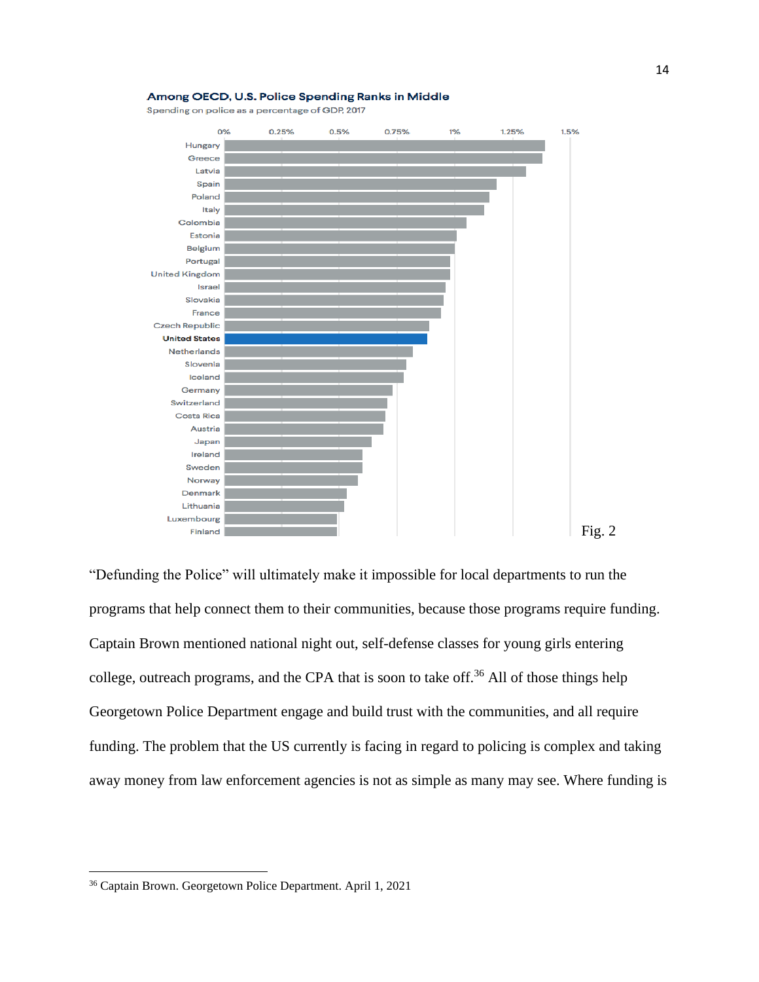

#### Among OECD, U.S. Police Spending Ranks in Middle

Spending on police as a percentage of GDP, 2017

"Defunding the Police" will ultimately make it impossible for local departments to run the programs that help connect them to their communities, because those programs require funding. Captain Brown mentioned national night out, self-defense classes for young girls entering college, outreach programs, and the CPA that is soon to take off.<sup>36</sup> All of those things help Georgetown Police Department engage and build trust with the communities, and all require funding. The problem that the US currently is facing in regard to policing is complex and taking away money from law enforcement agencies is not as simple as many may see. Where funding is

<sup>36</sup> Captain Brown. Georgetown Police Department. April 1, 2021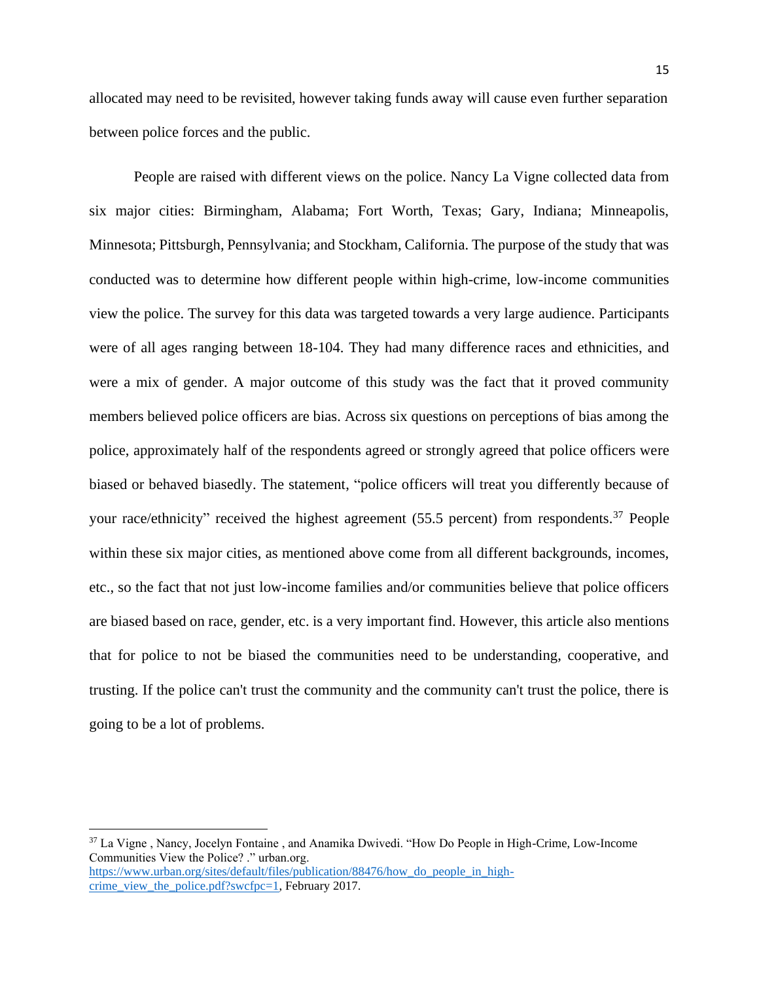allocated may need to be revisited, however taking funds away will cause even further separation between police forces and the public.

People are raised with different views on the police. Nancy La Vigne collected data from six major cities: Birmingham, Alabama; Fort Worth, Texas; Gary, Indiana; Minneapolis, Minnesota; Pittsburgh, Pennsylvania; and Stockham, California. The purpose of the study that was conducted was to determine how different people within high-crime, low-income communities view the police. The survey for this data was targeted towards a very large audience. Participants were of all ages ranging between 18-104. They had many difference races and ethnicities, and were a mix of gender. A major outcome of this study was the fact that it proved community members believed police officers are bias. Across six questions on perceptions of bias among the police, approximately half of the respondents agreed or strongly agreed that police officers were biased or behaved biasedly. The statement, "police officers will treat you differently because of your race/ethnicity" received the highest agreement (55.5 percent) from respondents.<sup>37</sup> People within these six major cities, as mentioned above come from all different backgrounds, incomes, etc., so the fact that not just low-income families and/or communities believe that police officers are biased based on race, gender, etc. is a very important find. However, this article also mentions that for police to not be biased the communities need to be understanding, cooperative, and trusting. If the police can't trust the community and the community can't trust the police, there is going to be a lot of problems.

<sup>37</sup> La Vigne, Nancy, Jocelyn Fontaine, and Anamika Dwivedi. "How Do People in High-Crime, Low-Income Communities View the Police? ." urban.org. [https://www.urban.org/sites/default/files/publication/88476/how\\_do\\_people\\_in\\_high-](https://www.urban.org/sites/default/files/publication/88476/how_do_people_in_high-crime_view_the_police.pdf?swcfpc=1)

[crime\\_view\\_the\\_police.pdf?swcfpc=1,](https://www.urban.org/sites/default/files/publication/88476/how_do_people_in_high-crime_view_the_police.pdf?swcfpc=1) February 2017.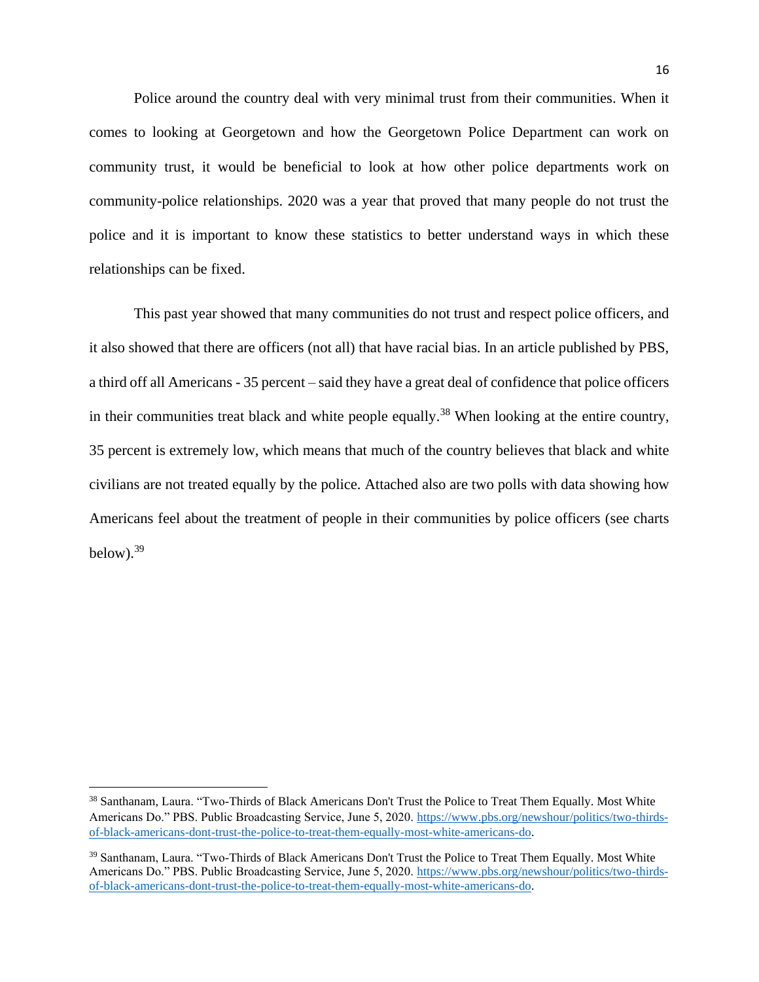Police around the country deal with very minimal trust from their communities. When it comes to looking at Georgetown and how the Georgetown Police Department can work on community trust, it would be beneficial to look at how other police departments work on community-police relationships. 2020 was a year that proved that many people do not trust the police and it is important to know these statistics to better understand ways in which these relationships can be fixed.

This past year showed that many communities do not trust and respect police officers, and it also showed that there are officers (not all) that have racial bias. In an article published by PBS, a third off all Americans - 35 percent – said they have a great deal of confidence that police officers in their communities treat black and white people equally.<sup>38</sup> When looking at the entire country, 35 percent is extremely low, which means that much of the country believes that black and white civilians are not treated equally by the police. Attached also are two polls with data showing how Americans feel about the treatment of people in their communities by police officers (see charts below). $39$ 

<sup>38</sup> Santhanam, Laura. "Two-Thirds of Black Americans Don't Trust the Police to Treat Them Equally. Most White Americans Do." PBS. Public Broadcasting Service, June 5, 2020. [https://www.pbs.org/newshour/politics/two-thirds](https://www.pbs.org/newshour/politics/two-thirds-of-black-americans-dont-trust-the-police-to-treat-them-equally-most-white-americans-do)[of-black-americans-dont-trust-the-police-to-treat-them-equally-most-white-americans-do.](https://www.pbs.org/newshour/politics/two-thirds-of-black-americans-dont-trust-the-police-to-treat-them-equally-most-white-americans-do)

<sup>&</sup>lt;sup>39</sup> Santhanam, Laura. "Two-Thirds of Black Americans Don't Trust the Police to Treat Them Equally. Most White Americans Do." PBS. Public Broadcasting Service, June 5, 2020. [https://www.pbs.org/newshour/politics/two-thirds](https://www.pbs.org/newshour/politics/two-thirds-of-black-americans-dont-trust-the-police-to-treat-them-equally-most-white-americans-do)[of-black-americans-dont-trust-the-police-to-treat-them-equally-most-white-americans-do.](https://www.pbs.org/newshour/politics/two-thirds-of-black-americans-dont-trust-the-police-to-treat-them-equally-most-white-americans-do)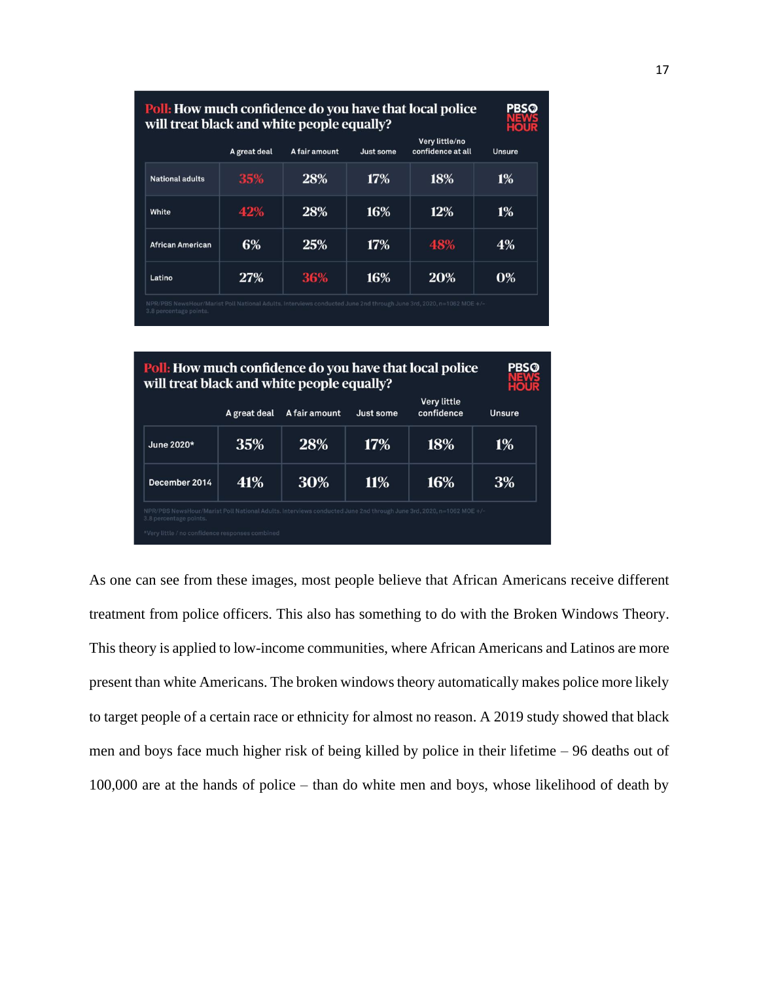| <b>Poll:</b> How much confidence do you have that local police<br>will treat black and white people equally? |               |           |                                     |                |  |
|--------------------------------------------------------------------------------------------------------------|---------------|-----------|-------------------------------------|----------------|--|
| A great deal                                                                                                 | A fair amount | Just some | Very little/no<br>confidence at all | Unsure         |  |
| 35%                                                                                                          | 28%           | 17%       | 18%                                 | 1%             |  |
| 42%                                                                                                          | 28%           | 16%       | 12%                                 | 1%             |  |
| 6%                                                                                                           | 25%           | 17%       | 48%                                 | 4%             |  |
| <b>27%</b>                                                                                                   | 36%           | 16%       | 20%                                 | $\mathbf{0\%}$ |  |
|                                                                                                              |               |           |                                     |                |  |

| <b>Poll:</b> How much confidence do you have that local police<br>will treat black and white people equally?                                                                                   |              |               |            |                                  |        |
|------------------------------------------------------------------------------------------------------------------------------------------------------------------------------------------------|--------------|---------------|------------|----------------------------------|--------|
|                                                                                                                                                                                                | A great deal | A fair amount | Just some  | <b>Very little</b><br>confidence | Unsure |
| June 2020*                                                                                                                                                                                     | 35%          | 28%           | 17%        | 18%                              | 1%     |
| December 2014                                                                                                                                                                                  | 41%          | 30%           | <b>11%</b> | 16%                              | 3%     |
| NPR/PBS NewsHour/Marist Poll National Adults. Interviews conducted June 2nd through June 3rd, 2020, n=1062 MOE+/-<br>3.8 percentage points.<br>*Very little / no confidence responses combined |              |               |            |                                  |        |

As one can see from these images, most people believe that African Americans receive different treatment from police officers. This also has something to do with the Broken Windows Theory. This theory is applied to low-income communities, where African Americans and Latinos are more present than white Americans. The broken windows theory automatically makes police more likely to target people of a certain race or ethnicity for almost no reason. A 2019 study showed that black men and boys face much higher risk of being killed by police in their lifetime – 96 deaths out of 100,000 are at the hands of police – than do white men and boys, whose likelihood of death by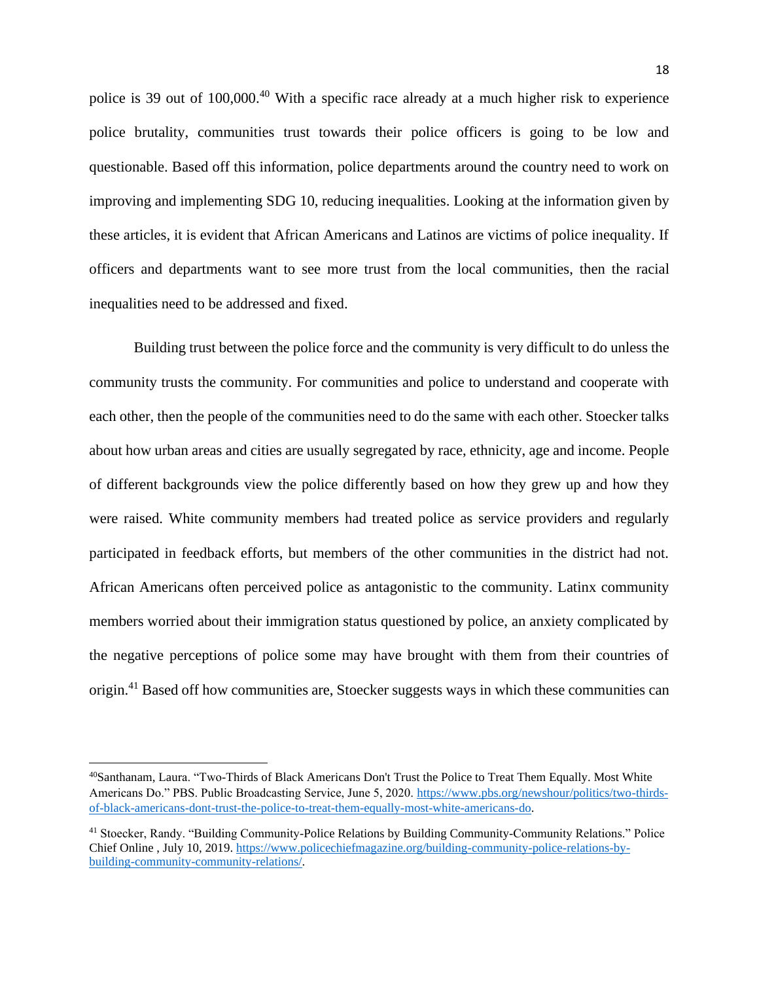police is 39 out of 100,000.<sup>40</sup> With a specific race already at a much higher risk to experience police brutality, communities trust towards their police officers is going to be low and questionable. Based off this information, police departments around the country need to work on improving and implementing SDG 10, reducing inequalities. Looking at the information given by these articles, it is evident that African Americans and Latinos are victims of police inequality. If officers and departments want to see more trust from the local communities, then the racial inequalities need to be addressed and fixed.

Building trust between the police force and the community is very difficult to do unless the community trusts the community. For communities and police to understand and cooperate with each other, then the people of the communities need to do the same with each other. Stoecker talks about how urban areas and cities are usually segregated by race, ethnicity, age and income. People of different backgrounds view the police differently based on how they grew up and how they were raised. White community members had treated police as service providers and regularly participated in feedback efforts, but members of the other communities in the district had not. African Americans often perceived police as antagonistic to the community. Latinx community members worried about their immigration status questioned by police, an anxiety complicated by the negative perceptions of police some may have brought with them from their countries of origin.<sup>41</sup> Based off how communities are, Stoecker suggests ways in which these communities can

<sup>40</sup>Santhanam, Laura. "Two-Thirds of Black Americans Don't Trust the Police to Treat Them Equally. Most White Americans Do." PBS. Public Broadcasting Service, June 5, 2020. [https://www.pbs.org/newshour/politics/two-thirds](https://www.pbs.org/newshour/politics/two-thirds-of-black-americans-dont-trust-the-police-to-treat-them-equally-most-white-americans-do)[of-black-americans-dont-trust-the-police-to-treat-them-equally-most-white-americans-do.](https://www.pbs.org/newshour/politics/two-thirds-of-black-americans-dont-trust-the-police-to-treat-them-equally-most-white-americans-do)

<sup>41</sup> Stoecker, Randy. "Building Community-Police Relations by Building Community-Community Relations." Police Chief Online , July 10, 2019[. https://www.policechiefmagazine.org/building-community-police-relations-by](https://www.policechiefmagazine.org/building-community-police-relations-by-building-community-community-relations/)[building-community-community-relations/.](https://www.policechiefmagazine.org/building-community-police-relations-by-building-community-community-relations/)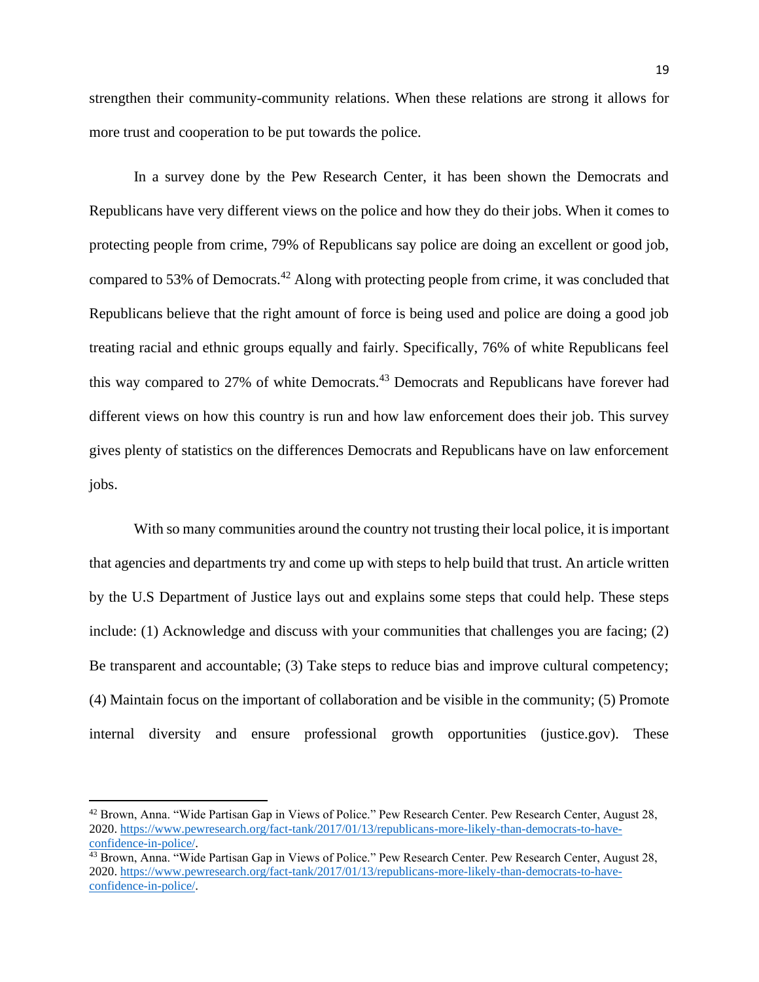strengthen their community-community relations. When these relations are strong it allows for more trust and cooperation to be put towards the police.

In a survey done by the Pew Research Center, it has been shown the Democrats and Republicans have very different views on the police and how they do their jobs. When it comes to protecting people from crime, 79% of Republicans say police are doing an excellent or good job, compared to 53% of Democrats.<sup>42</sup> Along with protecting people from crime, it was concluded that Republicans believe that the right amount of force is being used and police are doing a good job treating racial and ethnic groups equally and fairly. Specifically, 76% of white Republicans feel this way compared to 27% of white Democrats.<sup>43</sup> Democrats and Republicans have forever had different views on how this country is run and how law enforcement does their job. This survey gives plenty of statistics on the differences Democrats and Republicans have on law enforcement jobs.

With so many communities around the country not trusting their local police, it is important that agencies and departments try and come up with steps to help build that trust. An article written by the U.S Department of Justice lays out and explains some steps that could help. These steps include: (1) Acknowledge and discuss with your communities that challenges you are facing; (2) Be transparent and accountable; (3) Take steps to reduce bias and improve cultural competency; (4) Maintain focus on the important of collaboration and be visible in the community; (5) Promote internal diversity and ensure professional growth opportunities (justice.gov). These

<sup>42</sup> Brown, Anna. "Wide Partisan Gap in Views of Police." Pew Research Center. Pew Research Center, August 28, 2020. [https://www.pewresearch.org/fact-tank/2017/01/13/republicans-more-likely-than-democrats-to-have](https://www.pewresearch.org/fact-tank/2017/01/13/republicans-more-likely-than-democrats-to-have-confidence-in-police/)[confidence-in-police/.](https://www.pewresearch.org/fact-tank/2017/01/13/republicans-more-likely-than-democrats-to-have-confidence-in-police/)

<sup>&</sup>lt;sup>43</sup> Brown, Anna. "Wide Partisan Gap in Views of Police." Pew Research Center. Pew Research Center, August 28, 2020. [https://www.pewresearch.org/fact-tank/2017/01/13/republicans-more-likely-than-democrats-to-have](https://www.pewresearch.org/fact-tank/2017/01/13/republicans-more-likely-than-democrats-to-have-confidence-in-police/)[confidence-in-police/.](https://www.pewresearch.org/fact-tank/2017/01/13/republicans-more-likely-than-democrats-to-have-confidence-in-police/)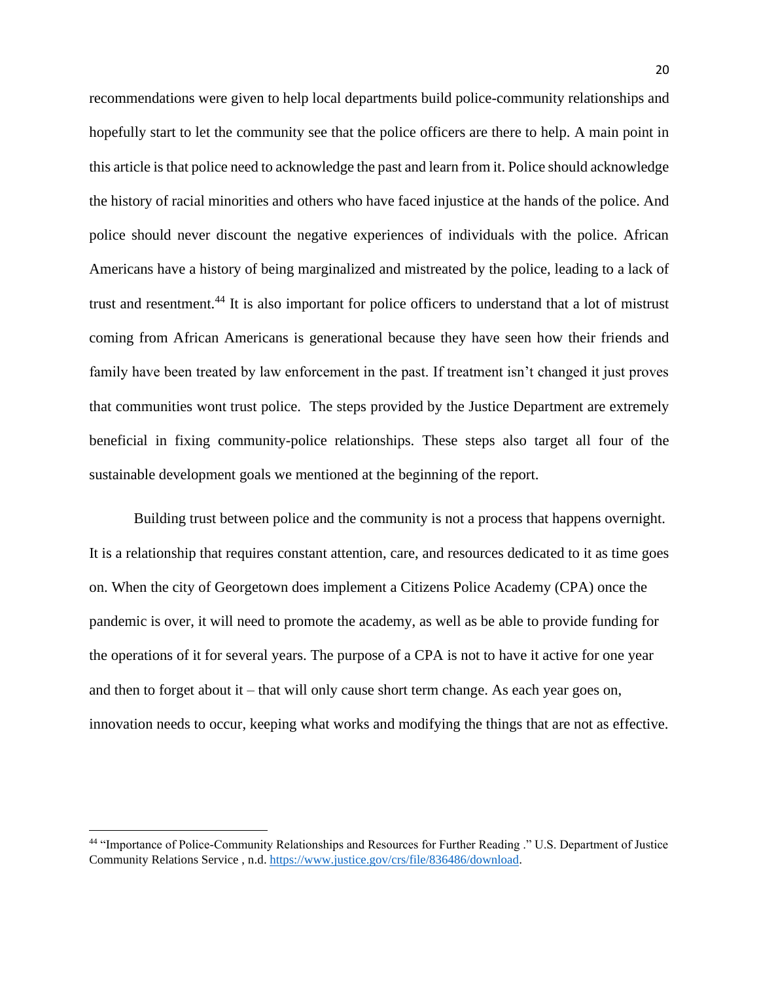recommendations were given to help local departments build police-community relationships and hopefully start to let the community see that the police officers are there to help. A main point in this article is that police need to acknowledge the past and learn from it. Police should acknowledge the history of racial minorities and others who have faced injustice at the hands of the police. And police should never discount the negative experiences of individuals with the police. African Americans have a history of being marginalized and mistreated by the police, leading to a lack of trust and resentment.<sup>44</sup> It is also important for police officers to understand that a lot of mistrust coming from African Americans is generational because they have seen how their friends and family have been treated by law enforcement in the past. If treatment isn't changed it just proves that communities wont trust police. The steps provided by the Justice Department are extremely beneficial in fixing community-police relationships. These steps also target all four of the sustainable development goals we mentioned at the beginning of the report.

Building trust between police and the community is not a process that happens overnight. It is a relationship that requires constant attention, care, and resources dedicated to it as time goes on. When the city of Georgetown does implement a Citizens Police Academy (CPA) once the pandemic is over, it will need to promote the academy, as well as be able to provide funding for the operations of it for several years. The purpose of a CPA is not to have it active for one year and then to forget about it – that will only cause short term change. As each year goes on, innovation needs to occur, keeping what works and modifying the things that are not as effective.

<sup>44</sup> "Importance of Police-Community Relationships and Resources for Further Reading ." U.S. Department of Justice Community Relations Service , n.d[. https://www.justice.gov/crs/file/836486/download.](https://www.justice.gov/crs/file/836486/download)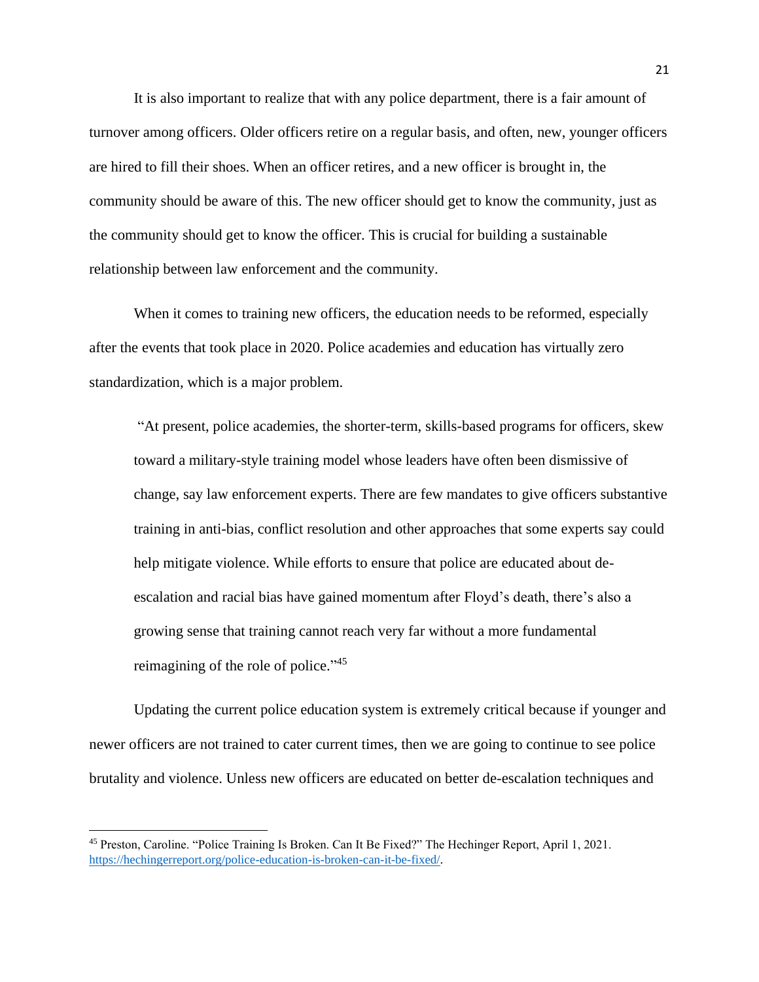It is also important to realize that with any police department, there is a fair amount of turnover among officers. Older officers retire on a regular basis, and often, new, younger officers are hired to fill their shoes. When an officer retires, and a new officer is brought in, the community should be aware of this. The new officer should get to know the community, just as the community should get to know the officer. This is crucial for building a sustainable relationship between law enforcement and the community.

When it comes to training new officers, the education needs to be reformed, especially after the events that took place in 2020. Police academies and education has virtually zero standardization, which is a major problem.

"At present, police academies, the shorter-term, skills-based programs for officers, skew toward a military-style training model whose leaders have often been dismissive of change, say law enforcement experts. There are few mandates to give officers substantive training in anti-bias, conflict resolution and other approaches that some experts say could help mitigate violence. While efforts to ensure that police are educated about deescalation and racial bias have gained momentum after Floyd's death, there's also a growing sense that training cannot reach very far without a more fundamental reimagining of the role of police."<sup>45</sup>

Updating the current police education system is extremely critical because if younger and newer officers are not trained to cater current times, then we are going to continue to see police brutality and violence. Unless new officers are educated on better de-escalation techniques and

<sup>45</sup> Preston, Caroline. "Police Training Is Broken. Can It Be Fixed?" The Hechinger Report, April 1, 2021. [https://hechingerreport.org/police-education-is-broken-can-it-be-fixed/.](https://hechingerreport.org/police-education-is-broken-can-it-be-fixed/)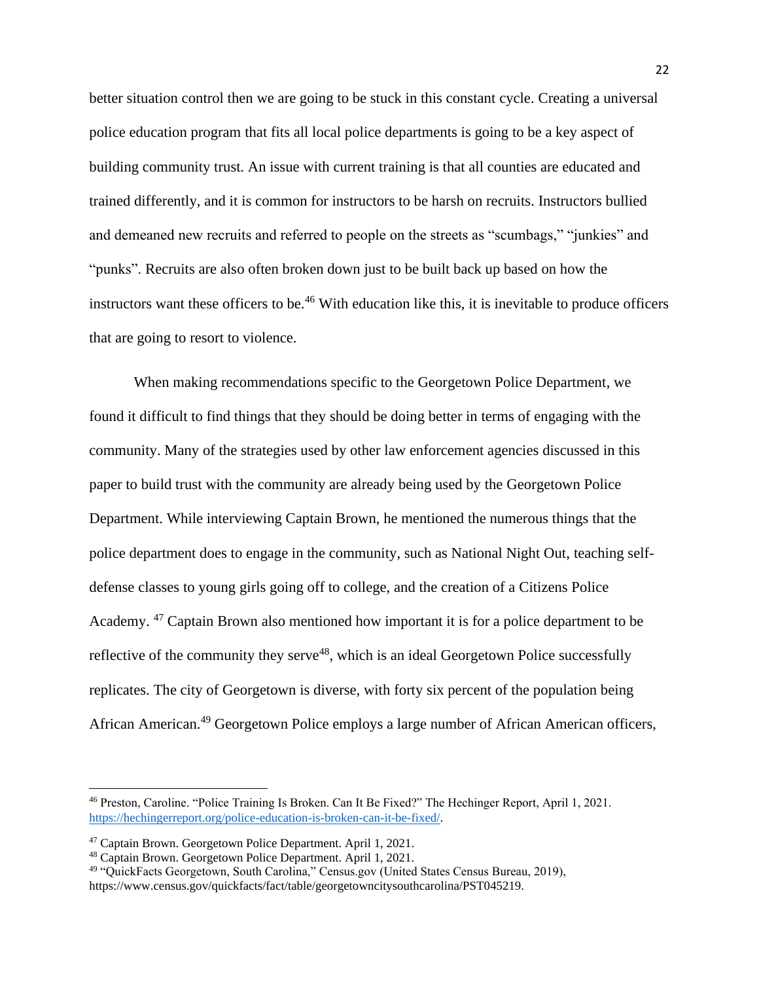better situation control then we are going to be stuck in this constant cycle. Creating a universal police education program that fits all local police departments is going to be a key aspect of building community trust. An issue with current training is that all counties are educated and trained differently, and it is common for instructors to be harsh on recruits. Instructors bullied and demeaned new recruits and referred to people on the streets as "scumbags," "junkies" and "punks". Recruits are also often broken down just to be built back up based on how the instructors want these officers to be.<sup>46</sup> With education like this, it is inevitable to produce officers that are going to resort to violence.

When making recommendations specific to the Georgetown Police Department, we found it difficult to find things that they should be doing better in terms of engaging with the community. Many of the strategies used by other law enforcement agencies discussed in this paper to build trust with the community are already being used by the Georgetown Police Department. While interviewing Captain Brown, he mentioned the numerous things that the police department does to engage in the community, such as National Night Out, teaching selfdefense classes to young girls going off to college, and the creation of a Citizens Police Academy.<sup>47</sup> Captain Brown also mentioned how important it is for a police department to be reflective of the community they serve<sup>48</sup>, which is an ideal Georgetown Police successfully replicates. The city of Georgetown is diverse, with forty six percent of the population being African American.<sup>49</sup> Georgetown Police employs a large number of African American officers,

<sup>46</sup> Preston, Caroline. "Police Training Is Broken. Can It Be Fixed?" The Hechinger Report, April 1, 2021. [https://hechingerreport.org/police-education-is-broken-can-it-be-fixed/.](https://hechingerreport.org/police-education-is-broken-can-it-be-fixed/)

<sup>47</sup> Captain Brown. Georgetown Police Department. April 1, 2021.

<sup>48</sup> Captain Brown. Georgetown Police Department. April 1, 2021.

<sup>49</sup> "QuickFacts Georgetown, South Carolina," Census.gov (United States Census Bureau, 2019), https://www.census.gov/quickfacts/fact/table/georgetowncitysouthcarolina/PST045219.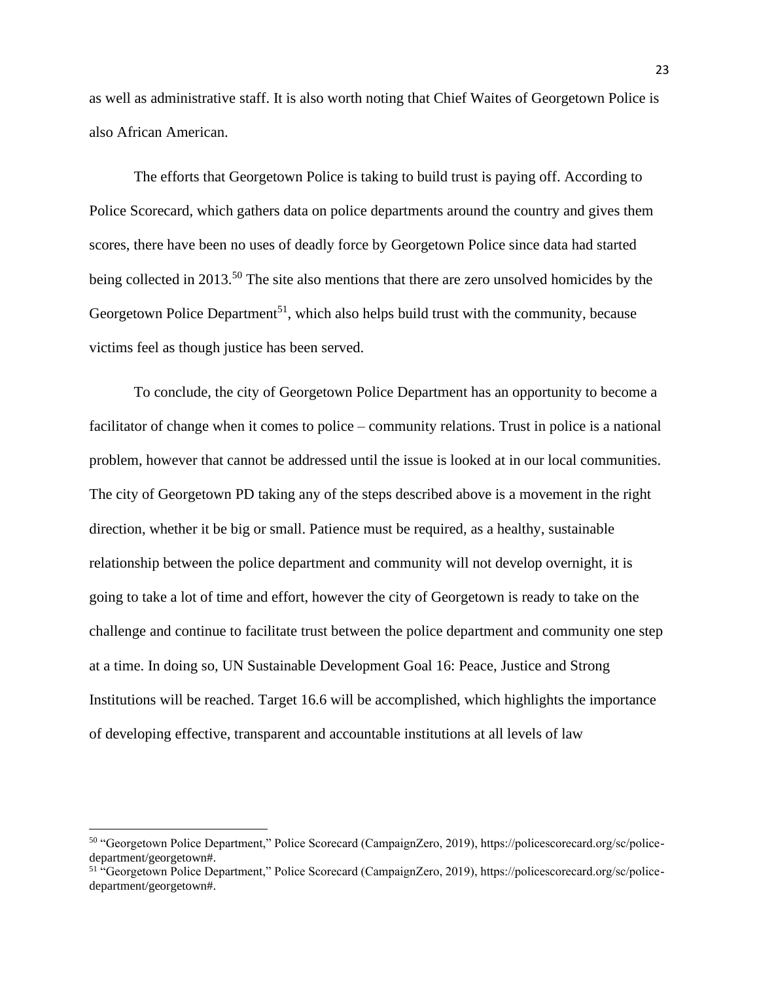as well as administrative staff. It is also worth noting that Chief Waites of Georgetown Police is also African American.

The efforts that Georgetown Police is taking to build trust is paying off. According to Police Scorecard, which gathers data on police departments around the country and gives them scores, there have been no uses of deadly force by Georgetown Police since data had started being collected in 2013.<sup>50</sup> The site also mentions that there are zero unsolved homicides by the Georgetown Police Department<sup>51</sup>, which also helps build trust with the community, because victims feel as though justice has been served.

To conclude, the city of Georgetown Police Department has an opportunity to become a facilitator of change when it comes to police – community relations. Trust in police is a national problem, however that cannot be addressed until the issue is looked at in our local communities. The city of Georgetown PD taking any of the steps described above is a movement in the right direction, whether it be big or small. Patience must be required, as a healthy, sustainable relationship between the police department and community will not develop overnight, it is going to take a lot of time and effort, however the city of Georgetown is ready to take on the challenge and continue to facilitate trust between the police department and community one step at a time. In doing so, UN Sustainable Development Goal 16: Peace, Justice and Strong Institutions will be reached. Target 16.6 will be accomplished, which highlights the importance of developing effective, transparent and accountable institutions at all levels of law

<sup>50</sup> "Georgetown Police Department," Police Scorecard (CampaignZero, 2019), https://policescorecard.org/sc/policedepartment/georgetown#.

<sup>51</sup> "Georgetown Police Department," Police Scorecard (CampaignZero, 2019), https://policescorecard.org/sc/policedepartment/georgetown#.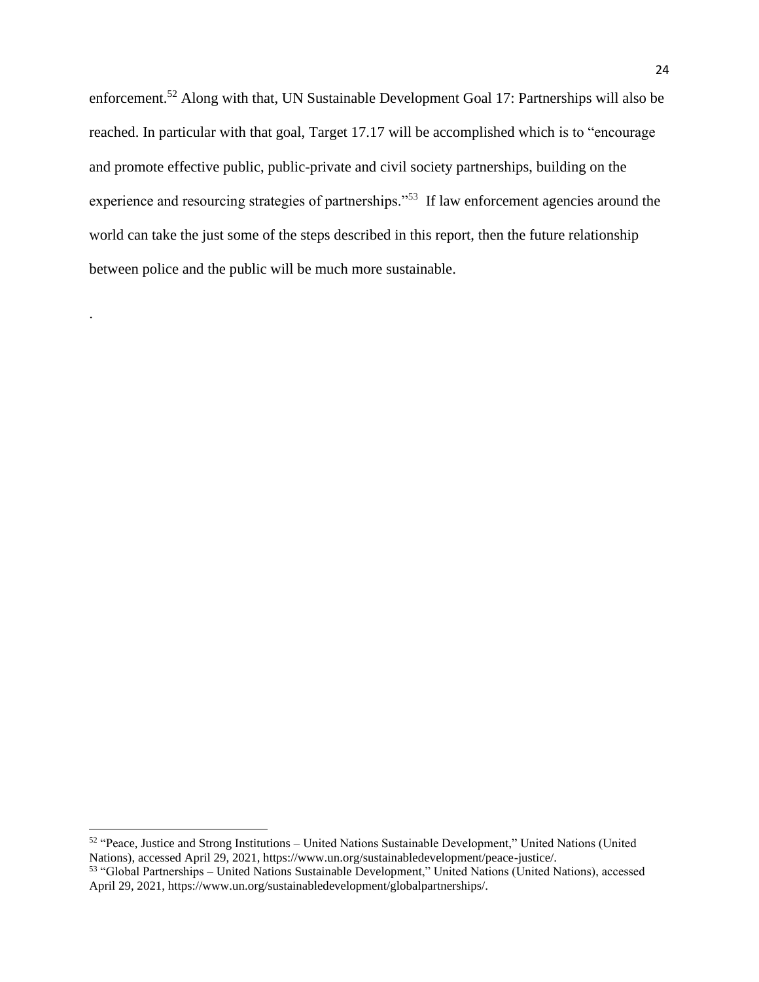enforcement.<sup>52</sup> Along with that, UN Sustainable Development Goal 17: Partnerships will also be reached. In particular with that goal, Target 17.17 will be accomplished which is to "encourage and promote effective public, public-private and civil society partnerships, building on the experience and resourcing strategies of partnerships."<sup>53</sup> If law enforcement agencies around the world can take the just some of the steps described in this report, then the future relationship between police and the public will be much more sustainable.

.

<sup>52</sup> "Peace, Justice and Strong Institutions – United Nations Sustainable Development," United Nations (United Nations), accessed April 29, 2021, https://www.un.org/sustainabledevelopment/peace-justice/.

<sup>53</sup> "Global Partnerships – United Nations Sustainable Development," United Nations (United Nations), accessed April 29, 2021, https://www.un.org/sustainabledevelopment/globalpartnerships/.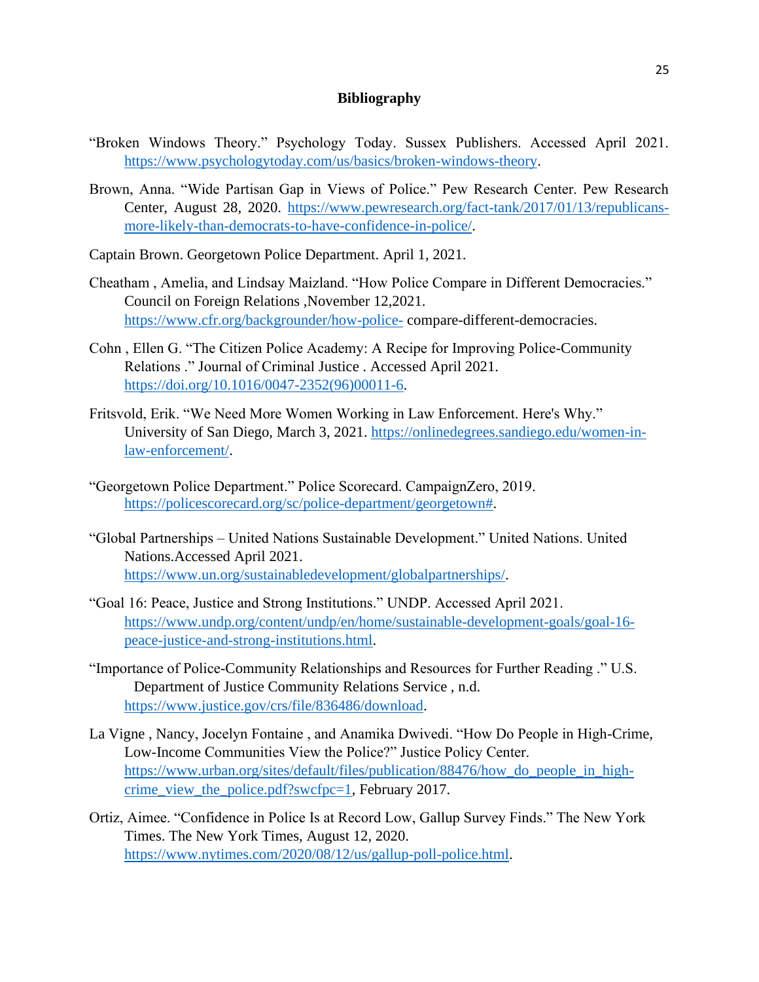### **Bibliography**

- "Broken Windows Theory." Psychology Today. Sussex Publishers. Accessed April 2021. [https://www.psychologytoday.com/us/basics/broken-windows-theory.](https://www.psychologytoday.com/us/basics/broken-windows-theory)
- Brown, Anna. "Wide Partisan Gap in Views of Police." Pew Research Center. Pew Research Center, August 28, 2020. [https://www.pewresearch.org/fact-tank/2017/01/13/republicans](https://www.pewresearch.org/fact-tank/2017/01/13/republicans-more-likely-than-democrats-to-have-confidence-in-police/)[more-likely-than-democrats-to-have-confidence-in-police/.](https://www.pewresearch.org/fact-tank/2017/01/13/republicans-more-likely-than-democrats-to-have-confidence-in-police/)
- Captain Brown. Georgetown Police Department. April 1, 2021.
- Cheatham , Amelia, and Lindsay Maizland. "How Police Compare in Different Democracies." Council on Foreign Relations ,November 12,2021. <https://www.cfr.org/backgrounder/how-police-> compare-different-democracies.
- Cohn , Ellen G. "The Citizen Police Academy: A Recipe for Improving Police-Community Relations ." Journal of Criminal Justice . Accessed April 2021. [https://doi.org/10.1016/0047-2352\(96\)00011-6.](https://doi.org/10.1016/0047-2352(96)00011-6)
- Fritsvold, Erik. "We Need More Women Working in Law Enforcement. Here's Why." University of San Diego, March 3, 2021. [https://onlinedegrees.sandiego.edu/women-in](https://onlinedegrees.sandiego.edu/women-in-law-enforcement/)[law-enforcement/.](https://onlinedegrees.sandiego.edu/women-in-law-enforcement/)
- "Georgetown Police Department." Police Scorecard. CampaignZero, 2019. [https://policescorecard.org/sc/police-department/georgetown#.](https://policescorecard.org/sc/police-department/georgetown)
- "Global Partnerships United Nations Sustainable Development." United Nations. United Nations.Accessed April 2021. [https://www.un.org/sustainabledevelopment/globalpartnerships/.](https://www.un.org/sustainabledevelopment/globalpartnerships/)
- "Goal 16: Peace, Justice and Strong Institutions." UNDP. Accessed April 2021. [https://www.undp.org/content/undp/en/home/sustainable-development-goals/goal-16](https://www.undp.org/content/undp/en/home/sustainable-development-goals/goal-16-peace-justice-and-strong-institutions.html) [peace-justice-and-strong-institutions.html.](https://www.undp.org/content/undp/en/home/sustainable-development-goals/goal-16-peace-justice-and-strong-institutions.html)
- "Importance of Police-Community Relationships and Resources for Further Reading ." U.S. Department of Justice Community Relations Service , n.d. [https://www.justice.gov/crs/file/836486/download.](https://www.justice.gov/crs/file/836486/download)
- La Vigne , Nancy, Jocelyn Fontaine , and Anamika Dwivedi. "How Do People in High-Crime, Low-Income Communities View the Police?" Justice Policy Center. [https://www.urban.org/sites/default/files/publication/88476/how\\_do\\_people\\_in\\_high](https://www.urban.org/sites/default/files/publication/88476/how_do_people_in_high-crime_view_the_police.pdf?swcfpc=1)[crime\\_view\\_the\\_police.pdf?swcfpc=1,](https://www.urban.org/sites/default/files/publication/88476/how_do_people_in_high-crime_view_the_police.pdf?swcfpc=1) February 2017.
- Ortiz, Aimee. "Confidence in Police Is at Record Low, Gallup Survey Finds." The New York Times. The New York Times, August 12, 2020. [https://www.nytimes.com/2020/08/12/us/gallup-poll-police.html.](https://www.nytimes.com/2020/08/12/us/gallup-poll-police.html)